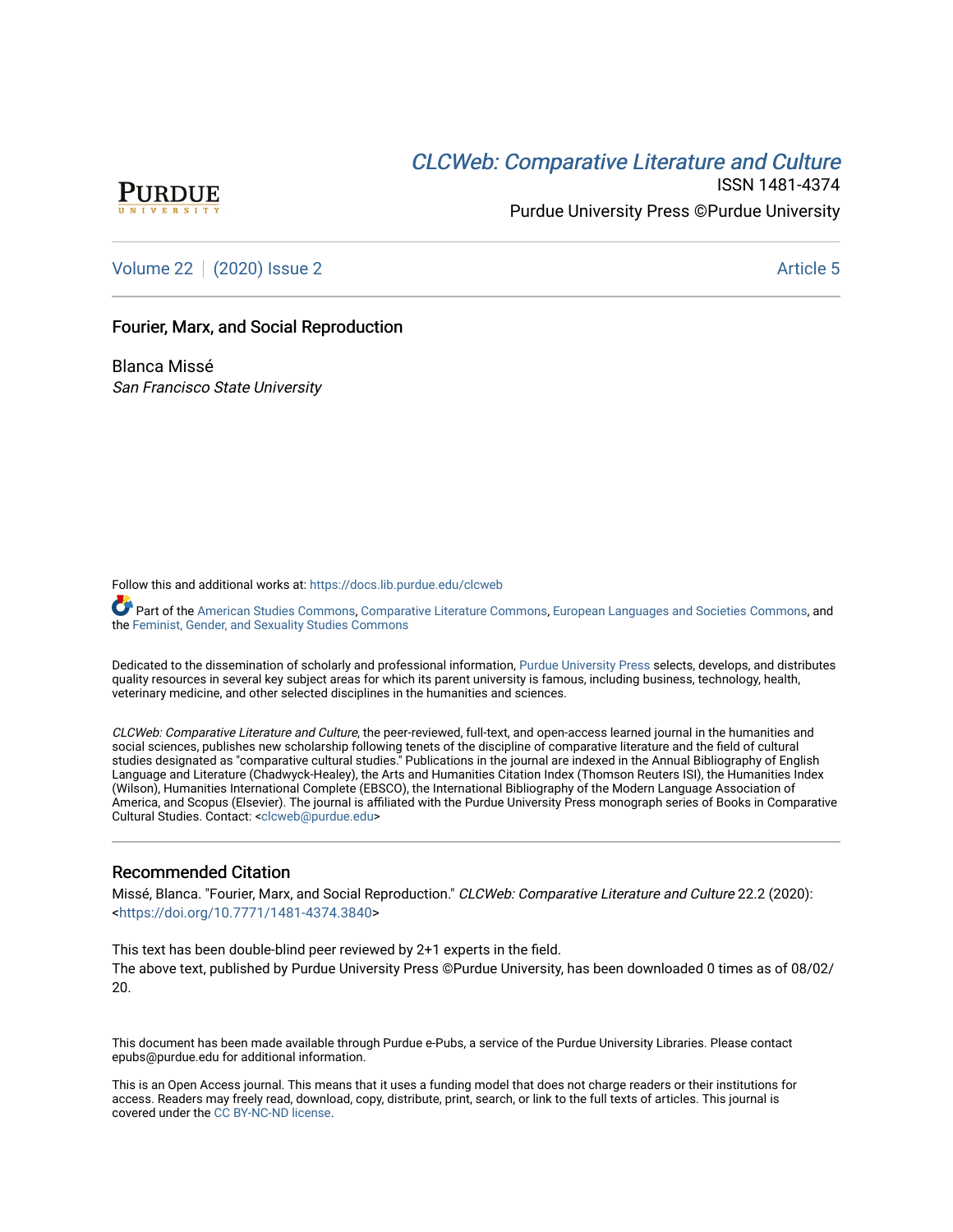# **CLCW[eb: Comparative Liter](https://docs.lib.purdue.edu/clcweb)ature and Culture**



ISSN 1481-4374 Purdue University Press ©Purdue University

[Volume 22](https://docs.lib.purdue.edu/clcweb/vol22) | [\(2020\) Issue 2](https://docs.lib.purdue.edu/clcweb/vol22/iss2) Article 5

## Fourier, Marx, and Social Reproduction

Blanca Missé San Francisco State University

Follow this and additional works at: [https://docs.lib.purdue.edu/clcweb](https://docs.lib.purdue.edu/clcweb?utm_source=docs.lib.purdue.edu%2Fclcweb%2Fvol22%2Fiss2%2F5&utm_medium=PDF&utm_campaign=PDFCoverPages)

Part of the [American Studies Commons](http://network.bepress.com/hgg/discipline/439?utm_source=docs.lib.purdue.edu%2Fclcweb%2Fvol22%2Fiss2%2F5&utm_medium=PDF&utm_campaign=PDFCoverPages), [Comparative Literature Commons,](http://network.bepress.com/hgg/discipline/454?utm_source=docs.lib.purdue.edu%2Fclcweb%2Fvol22%2Fiss2%2F5&utm_medium=PDF&utm_campaign=PDFCoverPages) [European Languages and Societies Commons,](http://network.bepress.com/hgg/discipline/482?utm_source=docs.lib.purdue.edu%2Fclcweb%2Fvol22%2Fiss2%2F5&utm_medium=PDF&utm_campaign=PDFCoverPages) and the [Feminist, Gender, and Sexuality Studies Commons](http://network.bepress.com/hgg/discipline/559?utm_source=docs.lib.purdue.edu%2Fclcweb%2Fvol22%2Fiss2%2F5&utm_medium=PDF&utm_campaign=PDFCoverPages) 

Dedicated to the dissemination of scholarly and professional information, [Purdue University Press](http://www.thepress.purdue.edu/) selects, develops, and distributes quality resources in several key subject areas for which its parent university is famous, including business, technology, health, veterinary medicine, and other selected disciplines in the humanities and sciences.

CLCWeb: Comparative Literature and Culture, the peer-reviewed, full-text, and open-access learned journal in the humanities and social sciences, publishes new scholarship following tenets of the discipline of comparative literature and the field of cultural studies designated as "comparative cultural studies." Publications in the journal are indexed in the Annual Bibliography of English Language and Literature (Chadwyck-Healey), the Arts and Humanities Citation Index (Thomson Reuters ISI), the Humanities Index (Wilson), Humanities International Complete (EBSCO), the International Bibliography of the Modern Language Association of America, and Scopus (Elsevier). The journal is affiliated with the Purdue University Press monograph series of Books in Comparative Cultural Studies. Contact: [<clcweb@purdue.edu](mailto:clcweb@purdue.edu)>

# Recommended Citation

Missé, Blanca. "Fourier, Marx, and Social Reproduction." CLCWeb: Comparative Literature and Culture 22.2 (2020): <<https://doi.org/10.7771/1481-4374.3840>>

This text has been double-blind peer reviewed by 2+1 experts in the field. The above text, published by Purdue University Press ©Purdue University, has been downloaded 0 times as of 08/02/ 20.

This document has been made available through Purdue e-Pubs, a service of the Purdue University Libraries. Please contact epubs@purdue.edu for additional information.

This is an Open Access journal. This means that it uses a funding model that does not charge readers or their institutions for access. Readers may freely read, download, copy, distribute, print, search, or link to the full texts of articles. This journal is covered under the [CC BY-NC-ND license.](https://creativecommons.org/licenses/by-nc-nd/4.0/)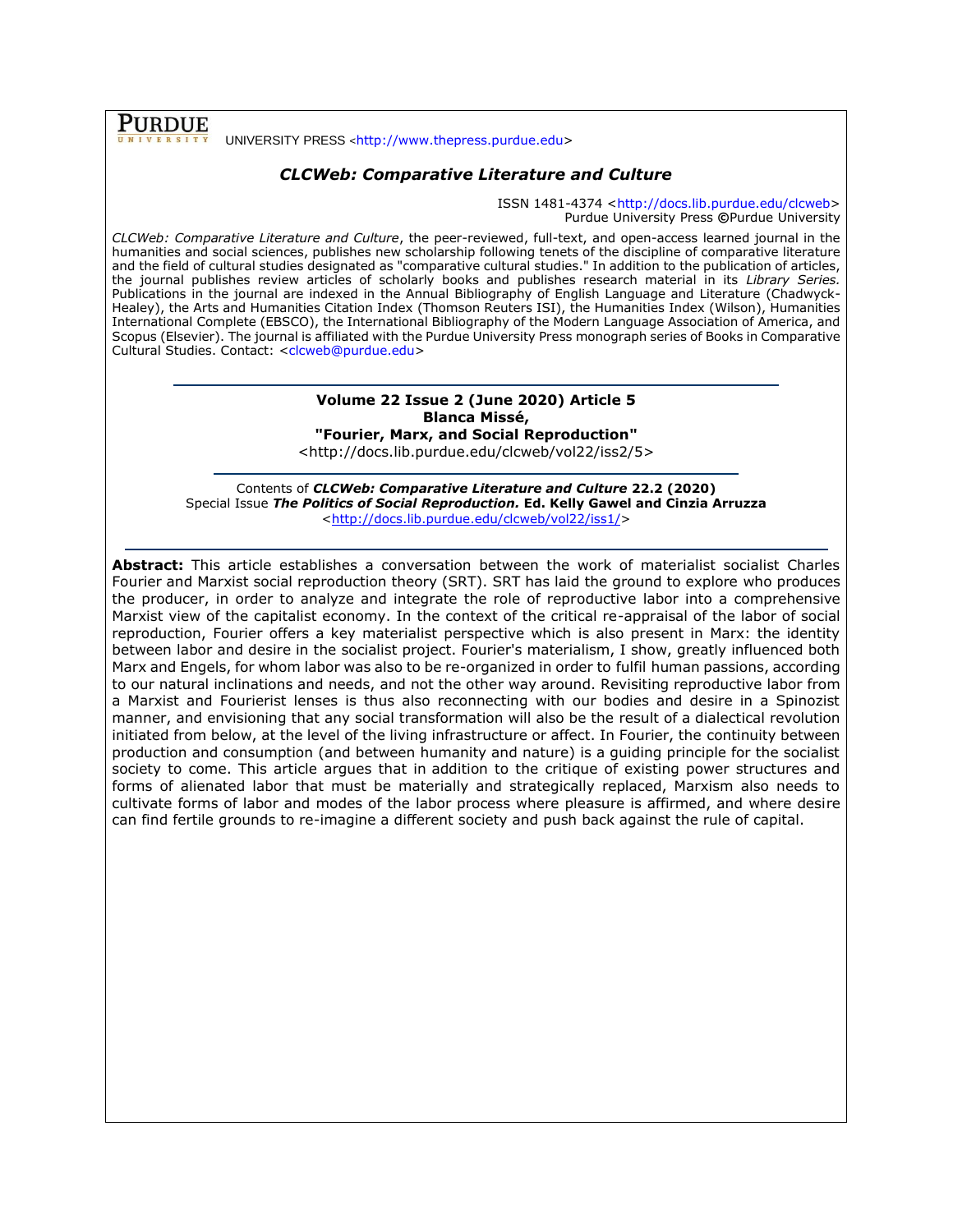**PURDUE** UNIVERSITY PRESS <[http://www.thepress.purdue.edu>](http://www.thepress.purdue.edu/)

# *CLCWeb: Comparative Literature and Culture*

ISSN 1481-4374 [<http://docs.lib.purdue.edu/clcweb>](http://docs.lib.purdue.edu/clcweb) Purdue University Press **©**Purdue University

*CLCWeb: Comparative Literature and Culture*, the peer-reviewed, full-text, and open-access learned journal in the humanities and social sciences, publishes new scholarship following tenets of the discipline of comparative literature and the field of cultural studies designated as "comparative cultural studies." In addition to the publication of articles, the journal publishes review articles of scholarly books and publishes research material in its *Library Series.*  Publications in the journal are indexed in the Annual Bibliography of English Language and Literature (Chadwyck-Healey), the Arts and Humanities Citation Index (Thomson Reuters ISI), the Humanities Index (Wilson), Humanities International Complete (EBSCO), the International Bibliography of the Modern Language Association of America, and Scopus (Elsevier). The journal is affiliated with the Purdue University Press monograph series of Books in Comparative Cultural Studies. Contact: [<clcweb@purdue.edu>](mailto:clcweb@purdue.edu)

# **Volume 22 Issue 2 (June 2020) Article 5 Blanca Missé,**

**"Fourier, Marx, and Social Reproduction"** <http://docs.lib.purdue.edu/clcweb/vol22/iss2/5>

Contents of *CLCWeb: Comparative Literature and Culture* **22.2 (2020)** Special Issue *The Politics of Social Reproduction.* **Ed. Kelly Gawel and Cinzia Arruzza** [<http://docs.lib.purdue.edu/clcweb/vol22/iss1/>](http://docs.lib.purdue.edu/clcweb/vol22/iss1/)

**Abstract:** This article establishes a conversation between the work of materialist socialist Charles Fourier and Marxist social reproduction theory (SRT). SRT has laid the ground to explore who produces the producer, in order to analyze and integrate the role of reproductive labor into a comprehensive Marxist view of the capitalist economy. In the context of the critical re-appraisal of the labor of social reproduction, Fourier offers a key materialist perspective which is also present in Marx: the identity between labor and desire in the socialist project. Fourier's materialism, I show, greatly influenced both Marx and Engels, for whom labor was also to be re-organized in order to fulfil human passions, according to our natural inclinations and needs, and not the other way around. Revisiting reproductive labor from a Marxist and Fourierist lenses is thus also reconnecting with our bodies and desire in a Spinozist manner, and envisioning that any social transformation will also be the result of a dialectical revolution initiated from below, at the level of the living infrastructure or affect. In Fourier, the continuity between production and consumption (and between humanity and nature) is a guiding principle for the socialist society to come. This article argues that in addition to the critique of existing power structures and forms of alienated labor that must be materially and strategically replaced, Marxism also needs to cultivate forms of labor and modes of the labor process where pleasure is affirmed, and where desire can find fertile grounds to re-imagine a different society and push back against the rule of capital.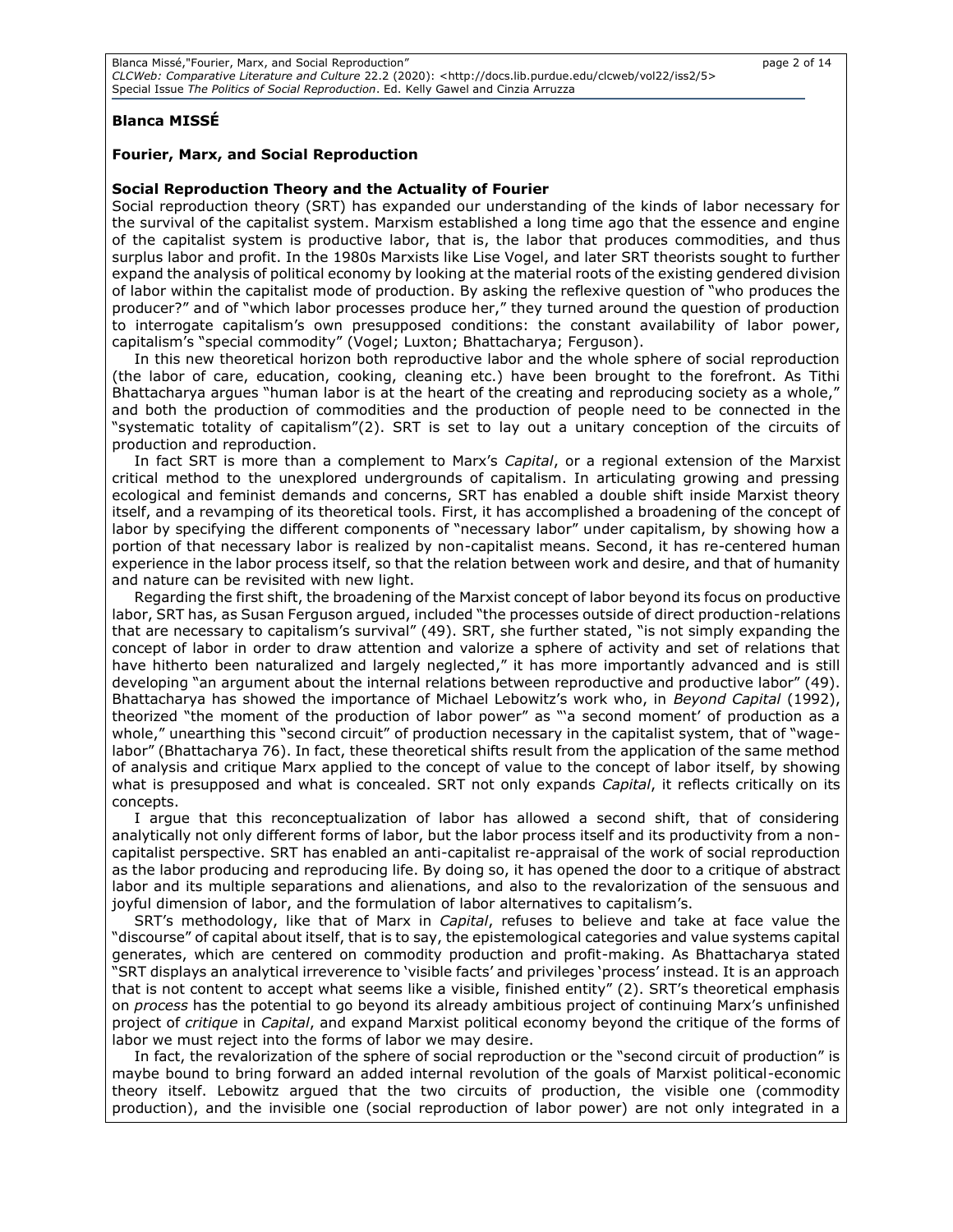## **Blanca MISSÉ**

#### **Fourier, Marx, and Social Reproduction**

### **Social Reproduction Theory and the Actuality of Fourier**

Social reproduction theory (SRT) has expanded our understanding of the kinds of labor necessary for the survival of the capitalist system. Marxism established a long time ago that the essence and engine of the capitalist system is productive labor, that is, the labor that produces commodities, and thus surplus labor and profit. In the 1980s Marxists like Lise Vogel, and later SRT theorists sought to further expand the analysis of political economy by looking at the material roots of the existing gendered division of labor within the capitalist mode of production. By asking the reflexive question of "who produces the producer?" and of "which labor processes produce her," they turned around the question of production to interrogate capitalism's own presupposed conditions: the constant availability of labor power, capitalism's "special commodity" (Vogel; Luxton; Bhattacharya; Ferguson).

In this new theoretical horizon both reproductive labor and the whole sphere of social reproduction (the labor of care, education, cooking, cleaning etc.) have been brought to the forefront. As Tithi Bhattacharya argues "human labor is at the heart of the creating and reproducing society as a whole, and both the production of commodities and the production of people need to be connected in the "systematic totality of capitalism"(2). SRT is set to lay out a unitary conception of the circuits of production and reproduction.

In fact SRT is more than a complement to Marx's *Capital*, or a regional extension of the Marxist critical method to the unexplored undergrounds of capitalism. In articulating growing and pressing ecological and feminist demands and concerns, SRT has enabled a double shift inside Marxist theory itself, and a revamping of its theoretical tools. First, it has accomplished a broadening of the concept of labor by specifying the different components of "necessary labor" under capitalism, by showing how a portion of that necessary labor is realized by non-capitalist means. Second, it has re-centered human experience in the labor process itself, so that the relation between work and desire, and that of humanity and nature can be revisited with new light.

Regarding the first shift, the broadening of the Marxist concept of labor beyond its focus on productive labor, SRT has, as Susan Ferguson argued, included "the processes outside of direct production-relations that are necessary to capitalism's survival" (49). SRT, she further stated, "is not simply expanding the concept of labor in order to draw attention and valorize a sphere of activity and set of relations that have hitherto been naturalized and largely neglected," it has more importantly advanced and is still developing "an argument about the internal relations between reproductive and productive labor" (49). Bhattacharya has showed the importance of Michael Lebowitz's work who, in *Beyond Capital* (1992), theorized "the moment of the production of labor power" as "'a second moment' of production as a whole," unearthing this "second circuit" of production necessary in the capitalist system, that of "wagelabor" (Bhattacharya 76). In fact, these theoretical shifts result from the application of the same method of analysis and critique Marx applied to the concept of value to the concept of labor itself, by showing what is presupposed and what is concealed. SRT not only expands *Capital*, it reflects critically on its concepts.

I argue that this reconceptualization of labor has allowed a second shift, that of considering analytically not only different forms of labor, but the labor process itself and its productivity from a noncapitalist perspective. SRT has enabled an anti-capitalist re-appraisal of the work of social reproduction as the labor producing and reproducing life. By doing so, it has opened the door to a critique of abstract labor and its multiple separations and alienations, and also to the revalorization of the sensuous and joyful dimension of labor, and the formulation of labor alternatives to capitalism's.

SRT's methodology, like that of Marx in *Capital*, refuses to believe and take at face value the "discourse" of capital about itself, that is to say, the epistemological categories and value systems capital generates, which are centered on commodity production and profit-making. As Bhattacharya stated "SRT displays an analytical irreverence to 'visible facts' and privileges 'process' instead. It is an approach that is not content to accept what seems like a visible, finished entity" (2). SRT's theoretical emphasis on *process* has the potential to go beyond its already ambitious project of continuing Marx's unfinished project of *critique* in *Capital*, and expand Marxist political economy beyond the critique of the forms of labor we must reject into the forms of labor we may desire.

In fact, the revalorization of the sphere of social reproduction or the "second circuit of production" is maybe bound to bring forward an added internal revolution of the goals of Marxist political-economic theory itself. Lebowitz argued that the two circuits of production, the visible one (commodity production), and the invisible one (social reproduction of labor power) are not only integrated in a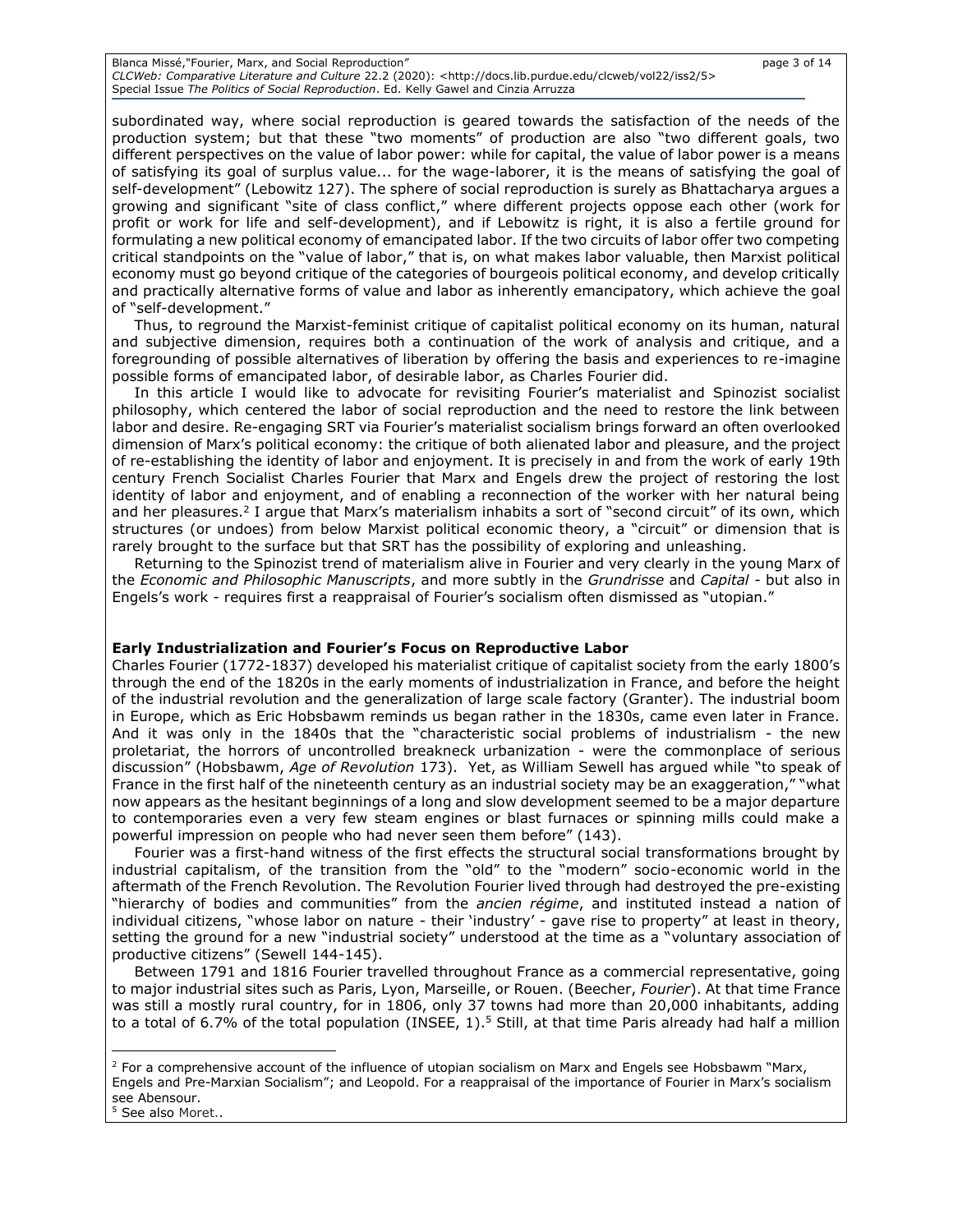Blanca Missé,"Fourier, Marx, and Social Reproduction" page 3 of 14 *CLCWeb: Comparative Literature and Culture* 22.2 (2020): <http://docs.lib.purdue.edu/clcweb/vol22/iss2/5> Special Issue *The Politics of Social Reproduction*. Ed. Kelly Gawel and Cinzia Arruzza

subordinated way, where social reproduction is geared towards the satisfaction of the needs of the production system; but that these "two moments" of production are also "two different goals, two different perspectives on the value of labor power: while for capital, the value of labor power is a means of satisfying its goal of surplus value... for the wage-laborer, it is the means of satisfying the goal of self-development" (Lebowitz 127). The sphere of social reproduction is surely as Bhattacharya argues a growing and significant "site of class conflict," where different projects oppose each other (work for profit or work for life and self-development), and if Lebowitz is right, it is also a fertile ground for formulating a new political economy of emancipated labor. If the two circuits of labor offer two competing critical standpoints on the "value of labor," that is, on what makes labor valuable, then Marxist political economy must go beyond critique of the categories of bourgeois political economy, and develop critically and practically alternative forms of value and labor as inherently emancipatory, which achieve the goal of "self-development."

Thus, to reground the Marxist-feminist critique of capitalist political economy on its human, natural and subjective dimension, requires both a continuation of the work of analysis and critique, and a foregrounding of possible alternatives of liberation by offering the basis and experiences to re-imagine possible forms of emancipated labor, of desirable labor, as Charles Fourier did.

In this article I would like to advocate for revisiting Fourier's materialist and Spinozist socialist philosophy, which centered the labor of social reproduction and the need to restore the link between labor and desire. Re-engaging SRT via Fourier's materialist socialism brings forward an often overlooked dimension of Marx's political economy: the critique of both alienated labor and pleasure, and the project of re-establishing the identity of labor and enjoyment. It is precisely in and from the work of early 19th century French Socialist Charles Fourier that Marx and Engels drew the project of restoring the lost identity of labor and enjoyment, and of enabling a reconnection of the worker with her natural being and her pleasures.<sup>2</sup> I argue that Marx's materialism inhabits a sort of "second circuit" of its own, which structures (or undoes) from below Marxist political economic theory, a "circuit" or dimension that is rarely brought to the surface but that SRT has the possibility of exploring and unleashing.

Returning to the Spinozist trend of materialism alive in Fourier and very clearly in the young Marx of the *Economic and Philosophic Manuscripts*, and more subtly in the *Grundrisse* and *Capital -* but also in Engels's work - requires first a reappraisal of Fourier's socialism often dismissed as "utopian."

#### **Early Industrialization and Fourier's Focus on Reproductive Labor**

Charles Fourier (1772-1837) developed his materialist critique of capitalist society from the early 1800's through the end of the 1820s in the early moments of industrialization in France, and before the height of the industrial revolution and the generalization of large scale factory (Granter). The industrial boom in Europe, which as Eric Hobsbawm reminds us began rather in the 1830s, came even later in France. And it was only in the 1840s that the "characteristic social problems of industrialism - the new proletariat, the horrors of uncontrolled breakneck urbanization - were the commonplace of serious discussion" (Hobsbawm, *Age of Revolution* 173). Yet, as William Sewell has argued while "to speak of France in the first half of the nineteenth century as an industrial society may be an exaggeration," "what now appears as the hesitant beginnings of a long and slow development seemed to be a major departure to contemporaries even a very few steam engines or blast furnaces or spinning mills could make a powerful impression on people who had never seen them before" (143).

Fourier was a first-hand witness of the first effects the structural social transformations brought by industrial capitalism, of the transition from the "old" to the "modern" socio-economic world in the aftermath of the French Revolution. The Revolution Fourier lived through had destroyed the pre-existing "hierarchy of bodies and communities" from the *ancien régime*, and instituted instead a nation of individual citizens, "whose labor on nature - their 'industry' - gave rise to property" at least in theory, setting the ground for a new "industrial society" understood at the time as a "voluntary association of productive citizens" (Sewell 144-145).

Between 1791 and 1816 Fourier travelled throughout France as a commercial representative, going to major industrial sites such as Paris, Lyon, Marseille, or Rouen. (Beecher, *Fourier*). At that time France was still a mostly rural country, for in 1806, only 37 towns had more than 20,000 inhabitants, adding to a total of 6.7% of the total population (INSEE, 1).<sup>5</sup> Still, at that time Paris already had half a million

 $2$  For a comprehensive account of the influence of utopian socialism on Marx and Engels see Hobsbawm "Marx, Engels and Pre-Marxian Socialism"; and Leopold. For a reappraisal of the importance of Fourier in Marx's socialism see Abensour.

<sup>5</sup> See also Moret..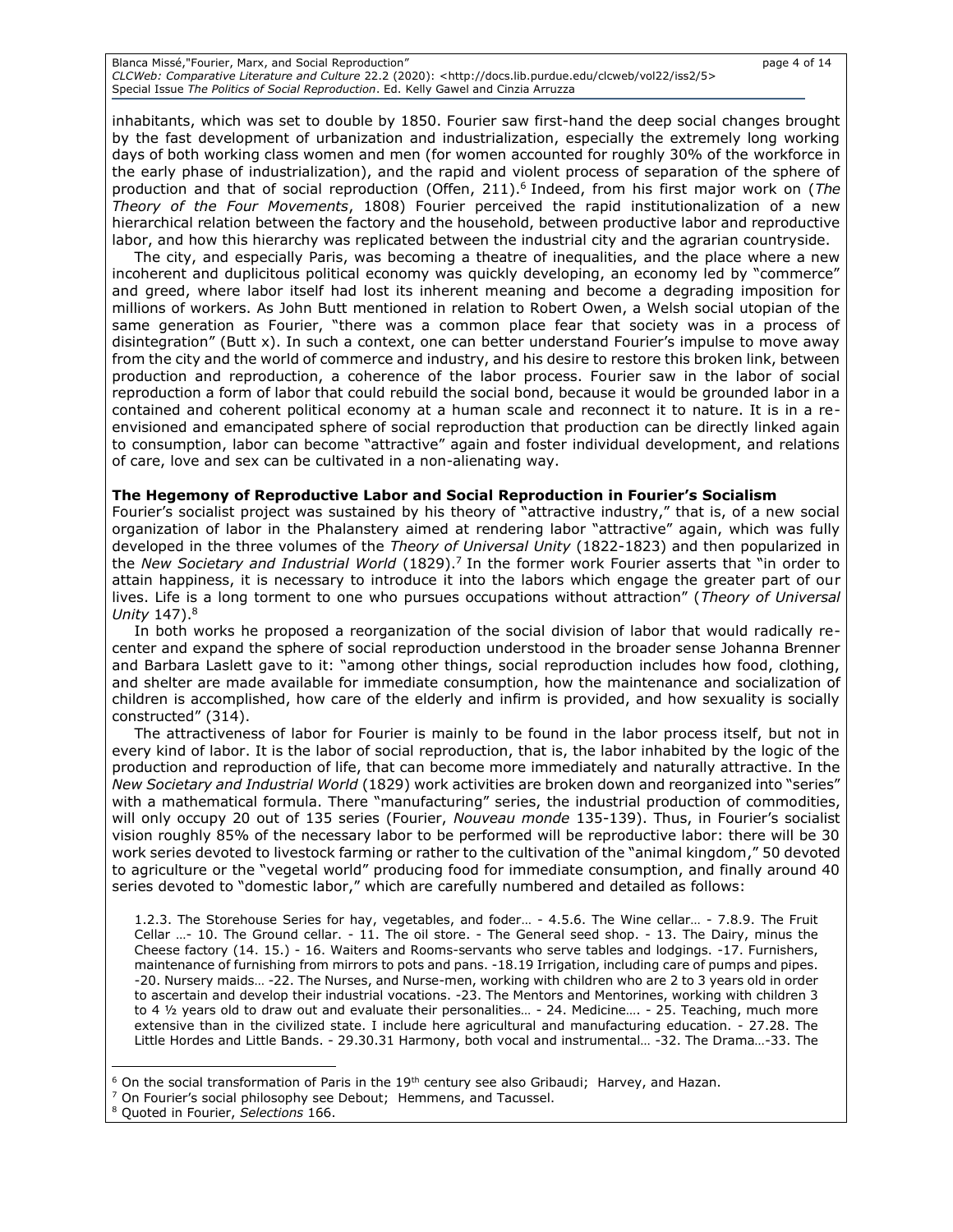Blanca Missé,"Fourier, Marx, and Social Reproduction" page 4 of 14 *CLCWeb: Comparative Literature and Culture* 22.2 (2020): <http://docs.lib.purdue.edu/clcweb/vol22/iss2/5> Special Issue *The Politics of Social Reproduction*. Ed. Kelly Gawel and Cinzia Arruzza

inhabitants, which was set to double by 1850. Fourier saw first-hand the deep social changes brought by the fast development of urbanization and industrialization, especially the extremely long working days of both working class women and men (for women accounted for roughly 30% of the workforce in the early phase of industrialization), and the rapid and violent process of separation of the sphere of production and that of social reproduction (Offen, 211). 6 Indeed, from his first major work on (*The Theory of the Four Movements*, 1808) Fourier perceived the rapid institutionalization of a new

hierarchical relation between the factory and the household, between productive labor and reproductive

labor, and how this hierarchy was replicated between the industrial city and the agrarian countryside. The city, and especially Paris, was becoming a theatre of inequalities, and the place where a new incoherent and duplicitous political economy was quickly developing, an economy led by "commerce" and greed, where labor itself had lost its inherent meaning and become a degrading imposition for millions of workers. As John Butt mentioned in relation to Robert Owen, a Welsh social utopian of the same generation as Fourier, "there was a common place fear that society was in a process of disintegration" (Butt x). In such a context, one can better understand Fourier's impulse to move away from the city and the world of commerce and industry, and his desire to restore this broken link, between production and reproduction, a coherence of the labor process. Fourier saw in the labor of social reproduction a form of labor that could rebuild the social bond, because it would be grounded labor in a contained and coherent political economy at a human scale and reconnect it to nature. It is in a reenvisioned and emancipated sphere of social reproduction that production can be directly linked again to consumption, labor can become "attractive" again and foster individual development, and relations of care, love and sex can be cultivated in a non-alienating way.

#### **The Hegemony of Reproductive Labor and Social Reproduction in Fourier's Socialism**

Fourier's socialist project was sustained by his theory of "attractive industry," that is, of a new social organization of labor in the Phalanstery aimed at rendering labor "attractive" again, which was fully developed in the three volumes of the *Theory of Universal Unity* (1822-1823) and then popularized in the *New Societary and Industrial World* (1829).<sup>7</sup> In the former work Fourier asserts that "in order to attain happiness, it is necessary to introduce it into the labors which engage the greater part of our lives. Life is a long torment to one who pursues occupations without attraction" (*Theory of Universal Unity* 147).<sup>8</sup>

In both works he proposed a reorganization of the social division of labor that would radically recenter and expand the sphere of social reproduction understood in the broader sense Johanna Brenner and Barbara Laslett gave to it: "among other things, social reproduction includes how food, clothing, and shelter are made available for immediate consumption, how the maintenance and socialization of children is accomplished, how care of the elderly and infirm is provided, and how sexuality is socially constructed" (314).

The attractiveness of labor for Fourier is mainly to be found in the labor process itself, but not in every kind of labor. It is the labor of social reproduction, that is, the labor inhabited by the logic of the production and reproduction of life, that can become more immediately and naturally attractive. In the *New Societary and Industrial World* (1829) work activities are broken down and reorganized into "series" with a mathematical formula. There "manufacturing" series, the industrial production of commodities, will only occupy 20 out of 135 series (Fourier, *Nouveau monde* 135-139). Thus, in Fourier's socialist vision roughly 85% of the necessary labor to be performed will be reproductive labor: there will be 30 work series devoted to livestock farming or rather to the cultivation of the "animal kingdom," 50 devoted to agriculture or the "vegetal world" producing food for immediate consumption, and finally around 40 series devoted to "domestic labor," which are carefully numbered and detailed as follows:

1.2.3. The Storehouse Series for hay, vegetables, and foder… - 4.5.6. The Wine cellar… - 7.8.9. The Fruit Cellar …- 10. The Ground cellar. - 11. The oil store. - The General seed shop. - 13. The Dairy, minus the Cheese factory (14. 15.) - 16. Waiters and Rooms-servants who serve tables and lodgings. -17. Furnishers, maintenance of furnishing from mirrors to pots and pans. -18.19 Irrigation, including care of pumps and pipes. -20. Nursery maids… -22. The Nurses, and Nurse-men, working with children who are 2 to 3 years old in order to ascertain and develop their industrial vocations. -23. The Mentors and Mentorines, working with children 3 to 4 1/2 years old to draw out and evaluate their personalities... - 24. Medicine.... - 25. Teaching, much more extensive than in the civilized state. I include here agricultural and manufacturing education. - 27.28. The Little Hordes and Little Bands. - 29.30.31 Harmony, both vocal and instrumental… -32. The Drama…-33. The

 $6$  On the social transformation of Paris in the 19<sup>th</sup> century see also Gribaudi; Harvey, and Hazan.

 $<sup>7</sup>$  On Fourier's social philosophy see Debout; Hemmens, and Tacussel.</sup>

<sup>8</sup> Quoted in Fourier, *Selections* 166.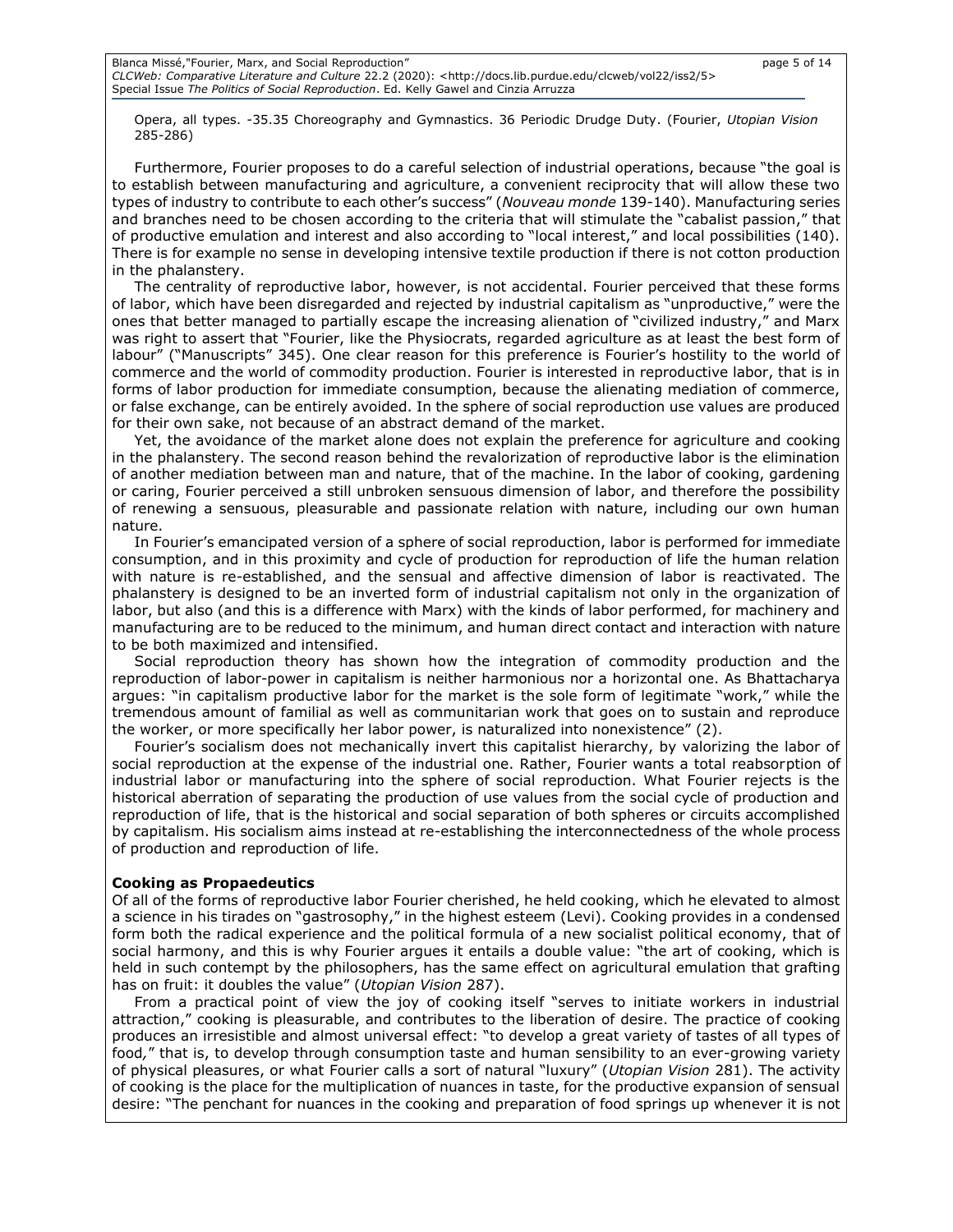Opera, all types. -35.35 Choreography and Gymnastics. 36 Periodic Drudge Duty. (Fourier, *Utopian Vision* 285-286)

Furthermore, Fourier proposes to do a careful selection of industrial operations, because "the goal is to establish between manufacturing and agriculture, a convenient reciprocity that will allow these two types of industry to contribute to each other's success" (*Nouveau monde* 139-140). Manufacturing series and branches need to be chosen according to the criteria that will stimulate the "cabalist passion," that of productive emulation and interest and also according to "local interest," and local possibilities (140). There is for example no sense in developing intensive textile production if there is not cotton production in the phalanstery.

The centrality of reproductive labor, however, is not accidental. Fourier perceived that these forms of labor, which have been disregarded and rejected by industrial capitalism as "unproductive," were the ones that better managed to partially escape the increasing alienation of "civilized industry," and Marx was right to assert that "Fourier, like the Physiocrats, regarded agriculture as at least the best form of labour" ("Manuscripts" 345). One clear reason for this preference is Fourier's hostility to the world of commerce and the world of commodity production. Fourier is interested in reproductive labor, that is in forms of labor production for immediate consumption, because the alienating mediation of commerce, or false exchange, can be entirely avoided. In the sphere of social reproduction use values are produced for their own sake, not because of an abstract demand of the market.

Yet, the avoidance of the market alone does not explain the preference for agriculture and cooking in the phalanstery. The second reason behind the revalorization of reproductive labor is the elimination of another mediation between man and nature, that of the machine. In the labor of cooking, gardening or caring, Fourier perceived a still unbroken sensuous dimension of labor, and therefore the possibility of renewing a sensuous, pleasurable and passionate relation with nature, including our own human nature.

In Fourier's emancipated version of a sphere of social reproduction, labor is performed for immediate consumption, and in this proximity and cycle of production for reproduction of life the human relation with nature is re-established, and the sensual and affective dimension of labor is reactivated. The phalanstery is designed to be an inverted form of industrial capitalism not only in the organization of labor, but also (and this is a difference with Marx) with the kinds of labor performed, for machinery and manufacturing are to be reduced to the minimum, and human direct contact and interaction with nature to be both maximized and intensified.

Social reproduction theory has shown how the integration of commodity production and the reproduction of labor-power in capitalism is neither harmonious nor a horizontal one. As Bhattacharya argues: "in capitalism productive labor for the market is the sole form of legitimate "work," while the tremendous amount of familial as well as communitarian work that goes on to sustain and reproduce the worker, or more specifically her labor power, is naturalized into nonexistence" (2).

Fourier's socialism does not mechanically invert this capitalist hierarchy, by valorizing the labor of social reproduction at the expense of the industrial one. Rather, Fourier wants a total reabsorption of industrial labor or manufacturing into the sphere of social reproduction. What Fourier rejects is the historical aberration of separating the production of use values from the social cycle of production and reproduction of life, that is the historical and social separation of both spheres or circuits accomplished by capitalism. His socialism aims instead at re-establishing the interconnectedness of the whole process of production and reproduction of life.

#### **Cooking as Propaedeutics**

Of all of the forms of reproductive labor Fourier cherished, he held cooking, which he elevated to almost a science in his tirades on "gastrosophy," in the highest esteem (Levi). Cooking provides in a condensed form both the radical experience and the political formula of a new socialist political economy, that of social harmony, and this is why Fourier argues it entails a double value: "the art of cooking, which is held in such contempt by the philosophers, has the same effect on agricultural emulation that grafting has on fruit: it doubles the value" (*Utopian Vision* 287).

From a practical point of view the joy of cooking itself "serves to initiate workers in industrial attraction," cooking is pleasurable, and contributes to the liberation of desire. The practice of cooking produces an irresistible and almost universal effect: "to develop a great variety of tastes of all types of food*,*" that is, to develop through consumption taste and human sensibility to an ever-growing variety of physical pleasures, or what Fourier calls a sort of natural "luxury" (*Utopian Vision* 281). The activity of cooking is the place for the multiplication of nuances in taste, for the productive expansion of sensual desire: "The penchant for nuances in the cooking and preparation of food springs up whenever it is not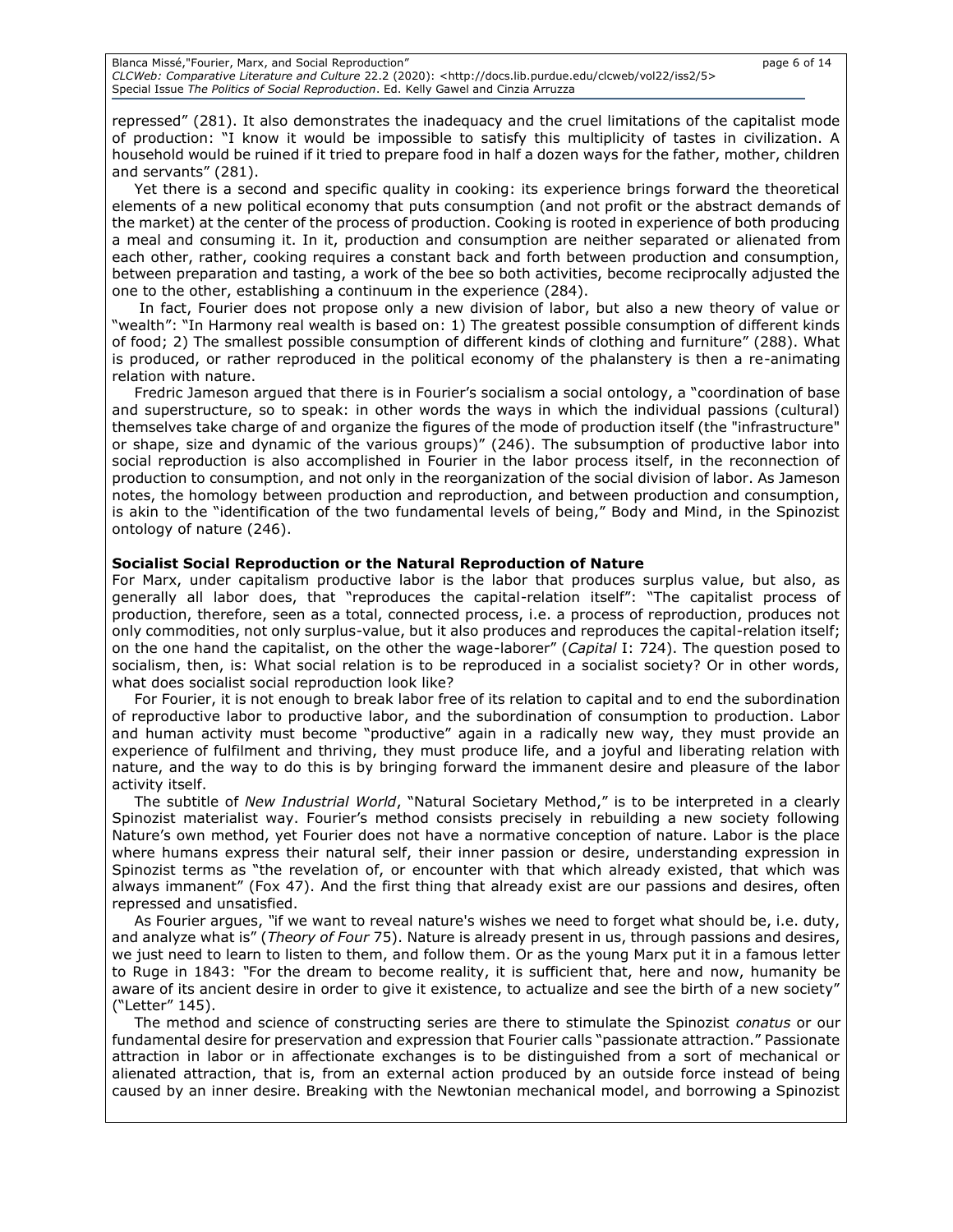repressed" (281). It also demonstrates the inadequacy and the cruel limitations of the capitalist mode of production: "I know it would be impossible to satisfy this multiplicity of tastes in civilization. A household would be ruined if it tried to prepare food in half a dozen ways for the father, mother, children and servants" (281).

Yet there is a second and specific quality in cooking: its experience brings forward the theoretical elements of a new political economy that puts consumption (and not profit or the abstract demands of the market) at the center of the process of production. Cooking is rooted in experience of both producing a meal and consuming it. In it, production and consumption are neither separated or alienated from each other, rather, cooking requires a constant back and forth between production and consumption, between preparation and tasting, a work of the bee so both activities, become reciprocally adjusted the one to the other, establishing a continuum in the experience (284).

In fact, Fourier does not propose only a new division of labor, but also a new theory of value or "wealth": "In Harmony real wealth is based on: 1) The greatest possible consumption of different kinds of food; 2) The smallest possible consumption of different kinds of clothing and furniture" (288). What is produced, or rather reproduced in the political economy of the phalanstery is then a re-animating relation with nature.

Fredric Jameson argued that there is in Fourier's socialism a social ontology, a "coordination of base and superstructure, so to speak: in other words the ways in which the individual passions (cultural) themselves take charge of and organize the figures of the mode of production itself (the "infrastructure" or shape, size and dynamic of the various groups)" (246). The subsumption of productive labor into social reproduction is also accomplished in Fourier in the labor process itself, in the reconnection of production to consumption, and not only in the reorganization of the social division of labor. As Jameson notes, the homology between production and reproduction, and between production and consumption, is akin to the "identification of the two fundamental levels of being," Body and Mind, in the Spinozist ontology of nature (246).

## **Socialist Social Reproduction or the Natural Reproduction of Nature**

For Marx, under capitalism productive labor is the labor that produces surplus value, but also, as generally all labor does, that "reproduces the capital-relation itself": "The capitalist process of production, therefore, seen as a total, connected process, i.e. a process of reproduction, produces not only commodities, not only surplus-value, but it also produces and reproduces the capital-relation itself; on the one hand the capitalist, on the other the wage-laborer" (*Capital* I: 724). The question posed to socialism, then, is: What social relation is to be reproduced in a socialist society? Or in other words, what does socialist social reproduction look like?

For Fourier, it is not enough to break labor free of its relation to capital and to end the subordination of reproductive labor to productive labor, and the subordination of consumption to production. Labor and human activity must become "productive" again in a radically new way, they must provide an experience of fulfilment and thriving, they must produce life, and a joyful and liberating relation with nature, and the way to do this is by bringing forward the immanent desire and pleasure of the labor activity itself.

The subtitle of *New Industrial World*, "Natural Societary Method," is to be interpreted in a clearly Spinozist materialist way. Fourier's method consists precisely in rebuilding a new society following Nature's own method, yet Fourier does not have a normative conception of nature. Labor is the place where humans express their natural self, their inner passion or desire, understanding expression in Spinozist terms as "the revelation of, or encounter with that which already existed, that which was always immanent" (Fox 47). And the first thing that already exist are our passions and desires, often repressed and unsatisfied.

As Fourier argues, *"*if we want to reveal nature's wishes we need to forget what should be, i.e. duty, and analyze what is" (*Theory of Four* 75). Nature is already present in us, through passions and desires, we just need to learn to listen to them, and follow them. Or as the young Marx put it in a famous letter to Ruge in 1843: *"*For the dream to become reality, it is sufficient that, here and now, humanity be aware of its ancient desire in order to give it existence, to actualize and see the birth of a new society" ("Letter" 145).

The method and science of constructing series are there to stimulate the Spinozist *conatus* or our fundamental desire for preservation and expression that Fourier calls "passionate attraction." Passionate attraction in labor or in affectionate exchanges is to be distinguished from a sort of mechanical or alienated attraction, that is, from an external action produced by an outside force instead of being caused by an inner desire. Breaking with the Newtonian mechanical model, and borrowing a Spinozist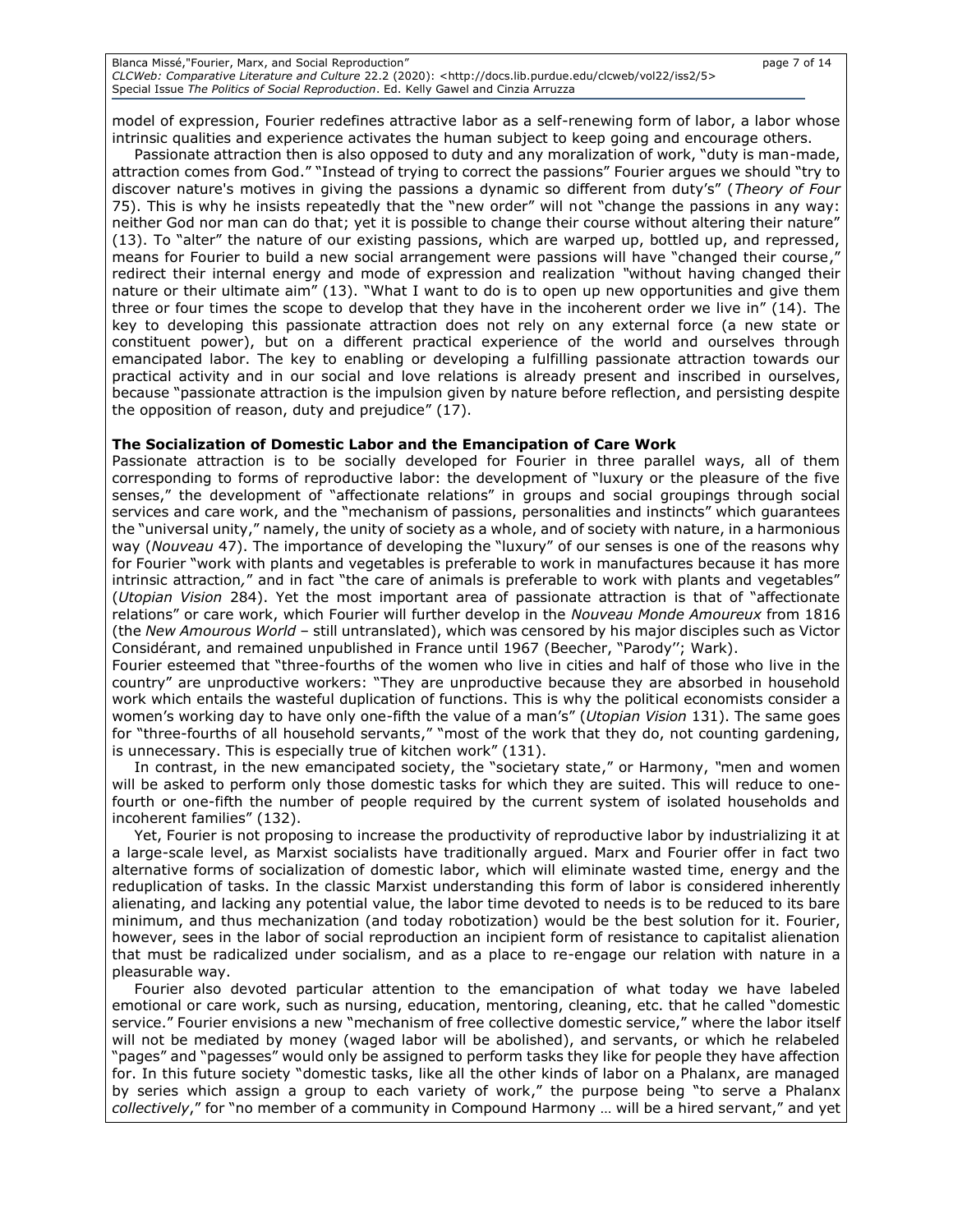| Blanca Missé,"Fourier, Marx, and Social Reproduction"                                                                          | page 7 of 14 |
|--------------------------------------------------------------------------------------------------------------------------------|--------------|
| CLCWeb: Comparative Literature and Culture 22.2 (2020): <http: 5="" clcweb="" docs.lib.purdue.edu="" iss2="" vol22=""></http:> |              |
| Special Issue The Politics of Social Reproduction. Ed. Kelly Gawel and Cinzia Arruzza                                          |              |

model of expression, Fourier redefines attractive labor as a self-renewing form of labor, a labor whose intrinsic qualities and experience activates the human subject to keep going and encourage others.

Passionate attraction then is also opposed to duty and any moralization of work, "duty is man-made, attraction comes from God." "Instead of trying to correct the passions" Fourier argues we should "try to discover nature's motives in giving the passions a dynamic so different from duty's" (*Theory of Four*  75). This is why he insists repeatedly that the "new order" will not "change the passions in any way: neither God nor man can do that; yet it is possible to change their course without altering their nature" (13). To "alter" the nature of our existing passions, which are warped up, bottled up, and repressed, means for Fourier to build a new social arrangement were passions will have "changed their course," redirect their internal energy and mode of expression and realization *"*without having changed their nature or their ultimate aim" (13). "What I want to do is to open up new opportunities and give them three or four times the scope to develop that they have in the incoherent order we live in" (14). The key to developing this passionate attraction does not rely on any external force (a new state or constituent power), but on a different practical experience of the world and ourselves through emancipated labor. The key to enabling or developing a fulfilling passionate attraction towards our practical activity and in our social and love relations is already present and inscribed in ourselves, because "passionate attraction is the impulsion given by nature before reflection, and persisting despite the opposition of reason, duty and prejudice" (17).

## **The Socialization of Domestic Labor and the Emancipation of Care Work**

Passionate attraction is to be socially developed for Fourier in three parallel ways, all of them corresponding to forms of reproductive labor: the development of "luxury or the pleasure of the five senses," the development of "affectionate relations" in groups and social groupings through social services and care work, and the "mechanism of passions, personalities and instincts" which guarantees the "universal unity," namely, the unity of society as a whole, and of society with nature, in a harmonious way (*Nouveau* 47). The importance of developing the "luxury" of our senses is one of the reasons why for Fourier "work with plants and vegetables is preferable to work in manufactures because it has more intrinsic attraction*,*" and in fact "the care of animals is preferable to work with plants and vegetables" (*Utopian Vision* 284). Yet the most important area of passionate attraction is that of "affectionate relations" or care work, which Fourier will further develop in the *Nouveau Monde Amoureux* from 1816 (the *New Amourous World* – still untranslated), which was censored by his major disciples such as Victor Considérant, and remained unpublished in France until 1967 (Beecher, "Parody''; Wark).

Fourier esteemed that "three-fourths of the women who live in cities and half of those who live in the country" are unproductive workers: "They are unproductive because they are absorbed in household work which entails the wasteful duplication of functions. This is why the political economists consider a women's working day to have only one-fifth the value of a man's" (*Utopian Vision* 131). The same goes for "three-fourths of all household servants," "most of the work that they do, not counting gardening, is unnecessary. This is especially true of kitchen work" (131).

In contrast, in the new emancipated society, the "societary state," or Harmony, *"*men and women will be asked to perform only those domestic tasks for which they are suited. This will reduce to onefourth or one-fifth the number of people required by the current system of isolated households and incoherent families" (132).

Yet, Fourier is not proposing to increase the productivity of reproductive labor by industrializing it at a large-scale level, as Marxist socialists have traditionally argued. Marx and Fourier offer in fact two alternative forms of socialization of domestic labor, which will eliminate wasted time, energy and the reduplication of tasks. In the classic Marxist understanding this form of labor is considered inherently alienating, and lacking any potential value, the labor time devoted to needs is to be reduced to its bare minimum, and thus mechanization (and today robotization) would be the best solution for it. Fourier, however, sees in the labor of social reproduction an incipient form of resistance to capitalist alienation that must be radicalized under socialism, and as a place to re-engage our relation with nature in a pleasurable way.

Fourier also devoted particular attention to the emancipation of what today we have labeled emotional or care work, such as nursing, education, mentoring, cleaning, etc. that he called "domestic service." Fourier envisions a new "mechanism of free collective domestic service," where the labor itself will not be mediated by money (waged labor will be abolished), and servants, or which he relabeled "pages" and "pagesses" would only be assigned to perform tasks they like for people they have affection for. In this future society "domestic tasks, like all the other kinds of labor on a Phalanx, are managed by series which assign a group to each variety of work," the purpose being "to serve a Phalanx *collectively*," for "no member of a community in Compound Harmony … will be a hired servant," and yet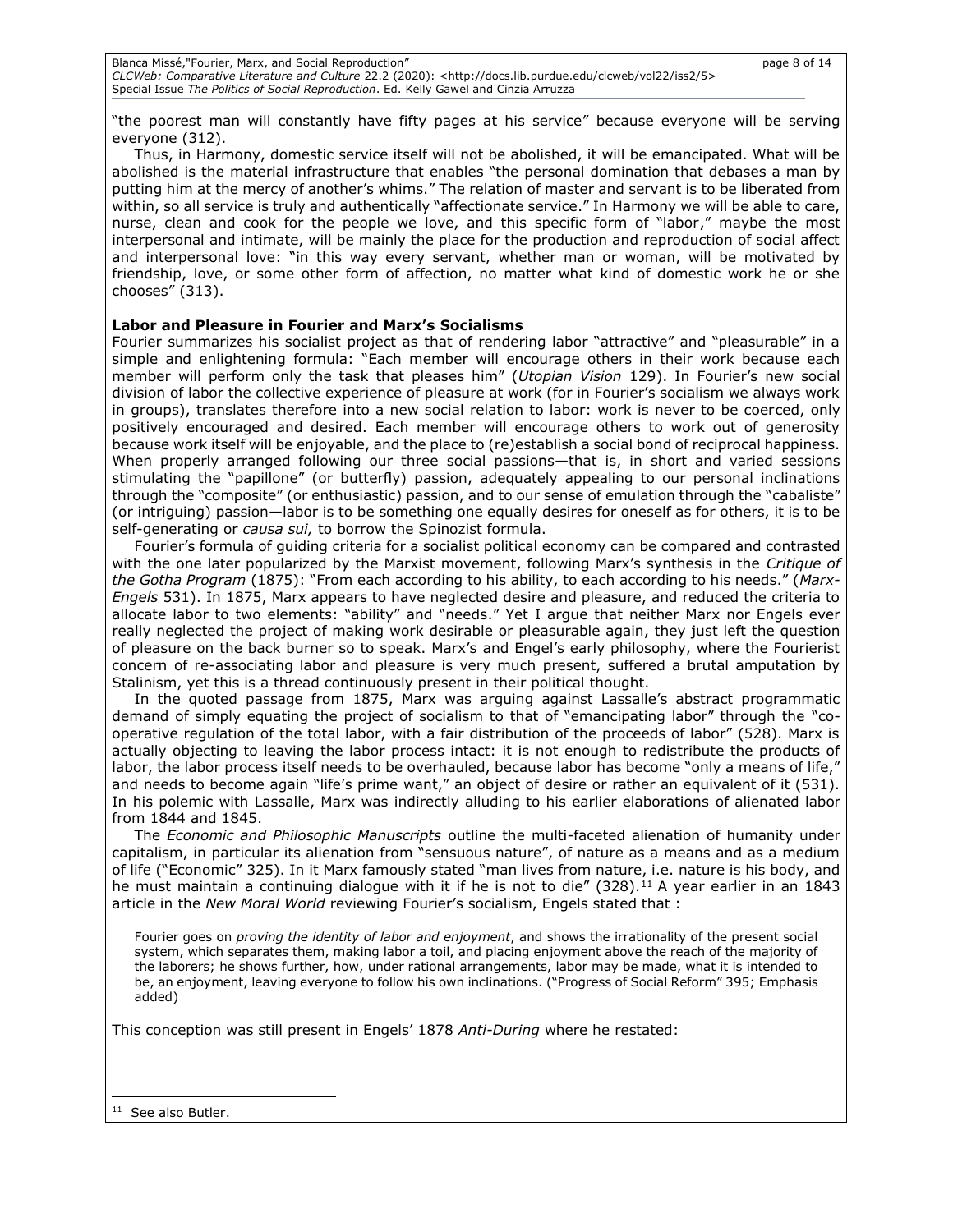"the poorest man will constantly have fifty pages at his service" because everyone will be serving everyone (312).

Thus, in Harmony, domestic service itself will not be abolished, it will be emancipated. What will be abolished is the material infrastructure that enables "the personal domination that debases a man by putting him at the mercy of another's whims." The relation of master and servant is to be liberated from within, so all service is truly and authentically "affectionate service." In Harmony we will be able to care, nurse, clean and cook for the people we love, and this specific form of "labor," maybe the most interpersonal and intimate, will be mainly the place for the production and reproduction of social affect and interpersonal love: "in this way every servant, whether man or woman, will be motivated by friendship, love, or some other form of affection, no matter what kind of domestic work he or she chooses" (313).

## **Labor and Pleasure in Fourier and Marx's Socialisms**

Fourier summarizes his socialist project as that of rendering labor "attractive" and "pleasurable" in a simple and enlightening formula: "Each member will encourage others in their work because each member will perform only the task that pleases him" (*Utopian Vision* 129). In Fourier's new social division of labor the collective experience of pleasure at work (for in Fourier's socialism we always work in groups), translates therefore into a new social relation to labor: work is never to be coerced, only positively encouraged and desired. Each member will encourage others to work out of generosity because work itself will be enjoyable, and the place to (re)establish a social bond of reciprocal happiness. When properly arranged following our three social passions—that is, in short and varied sessions stimulating the "papillone" (or butterfly) passion, adequately appealing to our personal inclinations through the "composite" (or enthusiastic) passion, and to our sense of emulation through the "cabaliste" (or intriguing) passion—labor is to be something one equally desires for oneself as for others, it is to be self-generating or *causa sui,* to borrow the Spinozist formula.

Fourier's formula of guiding criteria for a socialist political economy can be compared and contrasted with the one later popularized by the Marxist movement, following Marx's synthesis in the *Critique of the Gotha Program* (1875): "From each according to his ability, to each according to his needs." (*Marx-Engels* 531). In 1875, Marx appears to have neglected desire and pleasure, and reduced the criteria to allocate labor to two elements: "ability" and "needs." Yet I argue that neither Marx nor Engels ever really neglected the project of making work desirable or pleasurable again, they just left the question of pleasure on the back burner so to speak. Marx's and Engel's early philosophy, where the Fourierist concern of re-associating labor and pleasure is very much present, suffered a brutal amputation by Stalinism, yet this is a thread continuously present in their political thought.

In the quoted passage from 1875, Marx was arguing against Lassalle's abstract programmatic demand of simply equating the project of socialism to that of "emancipating labor" through the "cooperative regulation of the total labor, with a fair distribution of the proceeds of labor" (528). Marx is actually objecting to leaving the labor process intact: it is not enough to redistribute the products of labor, the labor process itself needs to be overhauled, because labor has become "only a means of life," and needs to become again "life's prime want," an object of desire or rather an equivalent of it (531). In his polemic with Lassalle, Marx was indirectly alluding to his earlier elaborations of alienated labor from 1844 and 1845.

The *Economic and Philosophic Manuscripts* outline the multi-faceted alienation of humanity under capitalism, in particular its alienation from "sensuous nature", of nature as a means and as a medium of life ("Economic" 325). In it Marx famously stated "man lives from nature, i.e. nature is his body, and he must maintain a continuing dialogue with it if he is not to die" (328).<sup>11</sup> A year earlier in an 1843 article in the *New Moral World* reviewing Fourier's socialism, Engels stated that :

Fourier goes on *proving the identity of labor and enjoyment*, and shows the irrationality of the present social system, which separates them, making labor a toil, and placing enjoyment above the reach of the majority of the laborers; he shows further, how, under rational arrangements, labor may be made, what it is intended to be, an enjoyment, leaving everyone to follow his own inclinations. ("Progress of Social Reform" 395; Emphasis added)

This conception was still present in Engels' 1878 *Anti-During* where he restated:

<sup>11</sup> See also Butler.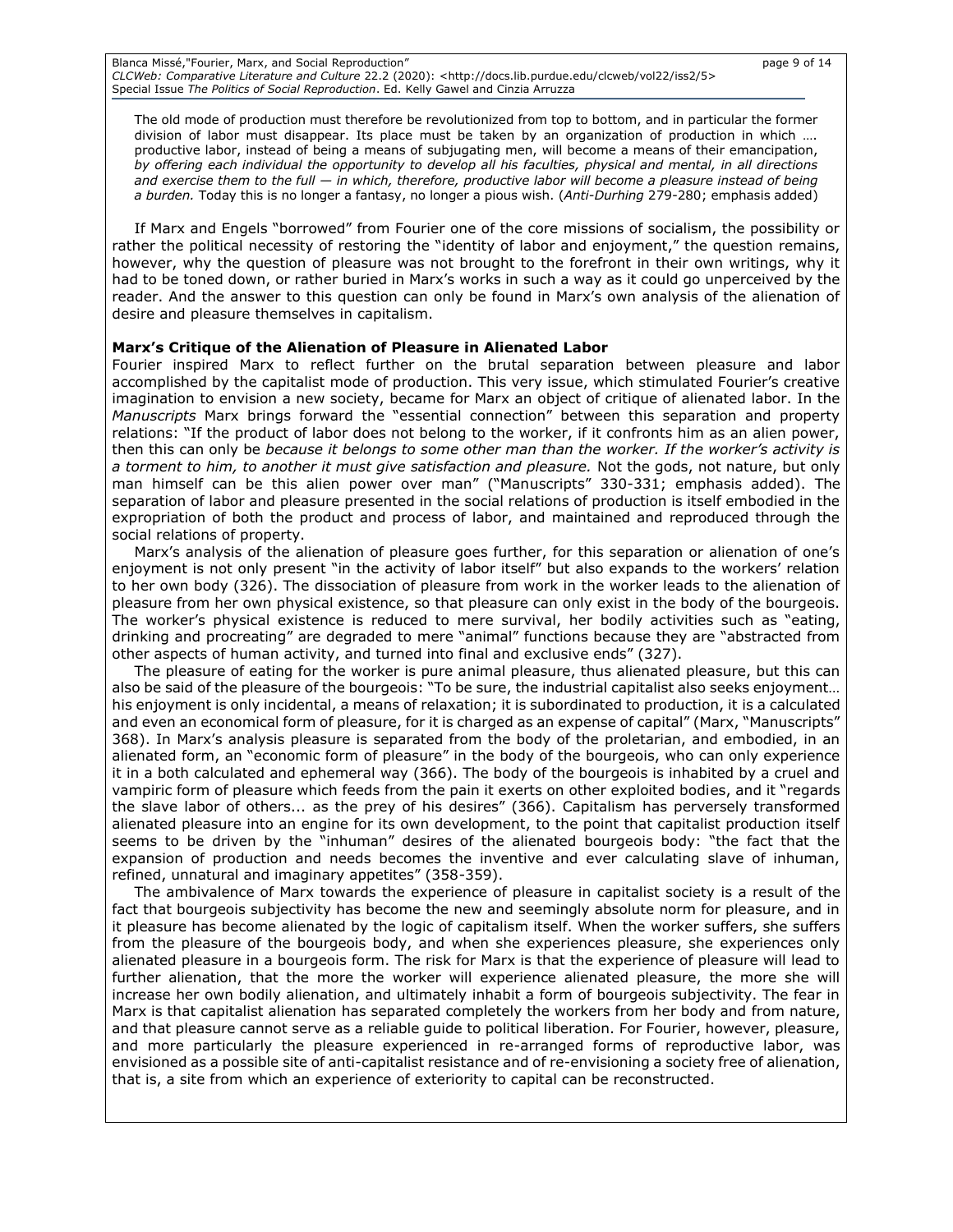Blanca Missé,"Fourier, Marx, and Social Reproduction" and the state of the state of the page 9 of 14 *CLCWeb: Comparative Literature and Culture* 22.2 (2020): <http://docs.lib.purdue.edu/clcweb/vol22/iss2/5> Special Issue *The Politics of Social Reproduction*. Ed. Kelly Gawel and Cinzia Arruzza

The old mode of production must therefore be revolutionized from top to bottom, and in particular the former division of labor must disappear. Its place must be taken by an organization of production in which …. productive labor, instead of being a means of subjugating men, will become a means of their emancipation, *by offering each individual the opportunity to develop all his faculties, physical and mental, in all directions and exercise them to the full — in which, therefore, productive labor will become a pleasure instead of being a burden.* Today this is no longer a fantasy, no longer a pious wish. (*Anti-Durhing* 279-280; emphasis added)

If Marx and Engels "borrowed" from Fourier one of the core missions of socialism, the possibility or rather the political necessity of restoring the "identity of labor and enjoyment," the question remains, however, why the question of pleasure was not brought to the forefront in their own writings, why it had to be toned down, or rather buried in Marx's works in such a way as it could go unperceived by the reader. And the answer to this question can only be found in Marx's own analysis of the alienation of desire and pleasure themselves in capitalism.

#### **Marx's Critique of the Alienation of Pleasure in Alienated Labor**

Fourier inspired Marx to reflect further on the brutal separation between pleasure and labor accomplished by the capitalist mode of production. This very issue, which stimulated Fourier's creative imagination to envision a new society, became for Marx an object of critique of alienated labor. In the *Manuscripts* Marx brings forward the "essential connection" between this separation and property relations: "If the product of labor does not belong to the worker, if it confronts him as an alien power, then this can only be *because it belongs to some other man than the worker. If the worker's activity is a torment to him, to another it must give satisfaction and pleasure.* Not the gods, not nature, but only man himself can be this alien power over man" ("Manuscripts" 330-331; emphasis added). The separation of labor and pleasure presented in the social relations of production is itself embodied in the expropriation of both the product and process of labor, and maintained and reproduced through the social relations of property.

Marx's analysis of the alienation of pleasure goes further, for this separation or alienation of one's enjoyment is not only present "in the activity of labor itself" but also expands to the workers' relation to her own body (326). The dissociation of pleasure from work in the worker leads to the alienation of pleasure from her own physical existence, so that pleasure can only exist in the body of the bourgeois. The worker's physical existence is reduced to mere survival, her bodily activities such as "eating, drinking and procreating" are degraded to mere "animal" functions because they are "abstracted from other aspects of human activity, and turned into final and exclusive ends" (327).

The pleasure of eating for the worker is pure animal pleasure, thus alienated pleasure, but this can also be said of the pleasure of the bourgeois: "To be sure, the industrial capitalist also seeks enjoyment… his enjoyment is only incidental, a means of relaxation; it is subordinated to production, it is a calculated and even an economical form of pleasure, for it is charged as an expense of capital" (Marx, "Manuscripts" 368). In Marx's analysis pleasure is separated from the body of the proletarian, and embodied, in an alienated form, an "economic form of pleasure" in the body of the bourgeois, who can only experience it in a both calculated and ephemeral way (366). The body of the bourgeois is inhabited by a cruel and vampiric form of pleasure which feeds from the pain it exerts on other exploited bodies, and it "regards the slave labor of others... as the prey of his desires" (366). Capitalism has perversely transformed alienated pleasure into an engine for its own development, to the point that capitalist production itself seems to be driven by the "inhuman" desires of the alienated bourgeois body: "the fact that the expansion of production and needs becomes the inventive and ever calculating slave of inhuman, refined, unnatural and imaginary appetites" (358-359).

The ambivalence of Marx towards the experience of pleasure in capitalist society is a result of the fact that bourgeois subjectivity has become the new and seemingly absolute norm for pleasure, and in it pleasure has become alienated by the logic of capitalism itself. When the worker suffers, she suffers from the pleasure of the bourgeois body, and when she experiences pleasure, she experiences only alienated pleasure in a bourgeois form. The risk for Marx is that the experience of pleasure will lead to further alienation, that the more the worker will experience alienated pleasure, the more she will increase her own bodily alienation, and ultimately inhabit a form of bourgeois subjectivity. The fear in Marx is that capitalist alienation has separated completely the workers from her body and from nature, and that pleasure cannot serve as a reliable guide to political liberation. For Fourier, however, pleasure, and more particularly the pleasure experienced in re-arranged forms of reproductive labor, was envisioned as a possible site of anti-capitalist resistance and of re-envisioning a society free of alienation, that is, a site from which an experience of exteriority to capital can be reconstructed.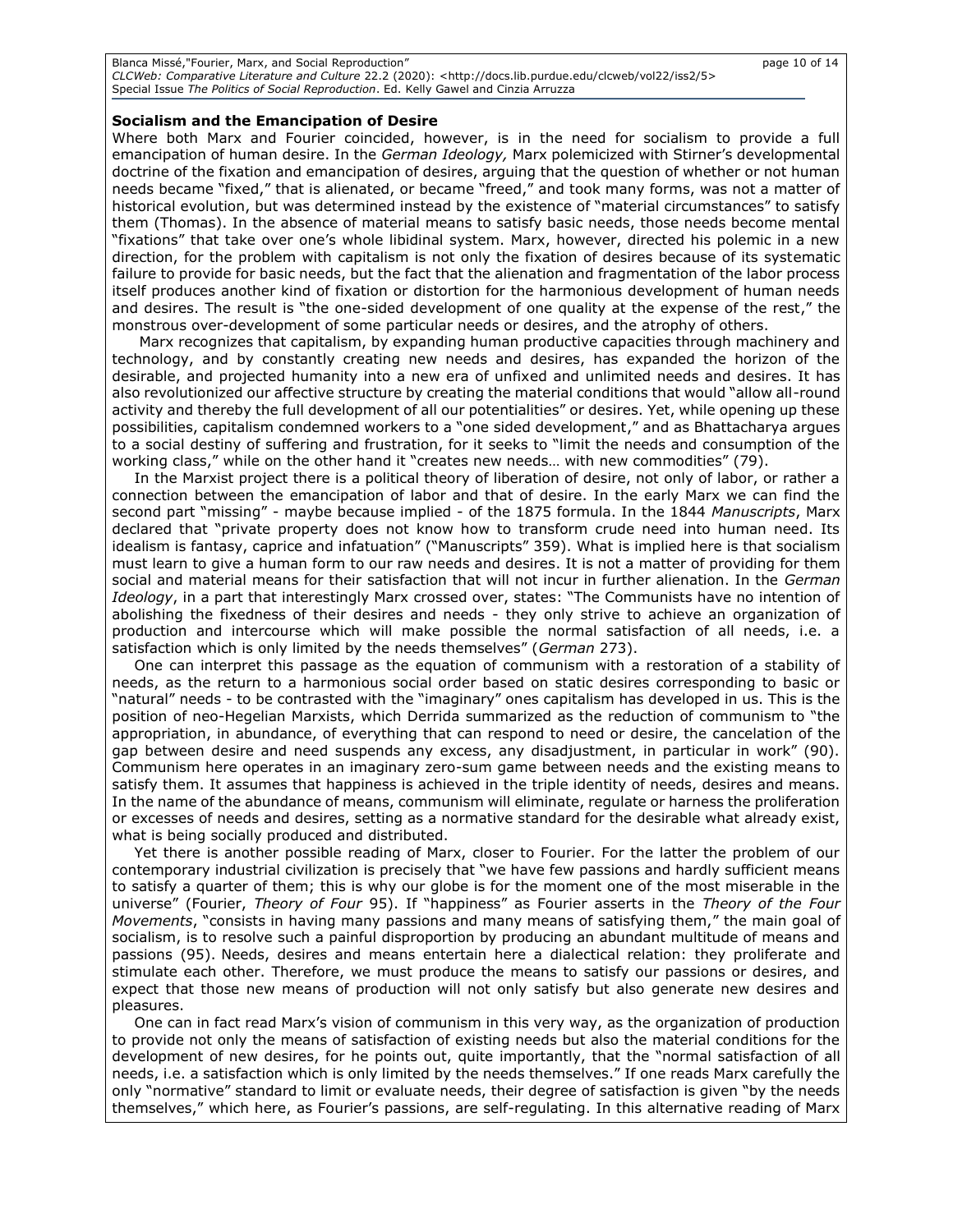#### **Socialism and the Emancipation of Desire**

Where both Marx and Fourier coincided, however, is in the need for socialism to provide a full emancipation of human desire. In the *German Ideology,* Marx polemicized with Stirner's developmental doctrine of the fixation and emancipation of desires, arguing that the question of whether or not human needs became "fixed," that is alienated, or became "freed," and took many forms, was not a matter of historical evolution, but was determined instead by the existence of "material circumstances" to satisfy them (Thomas). In the absence of material means to satisfy basic needs, those needs become mental "fixations" that take over one's whole libidinal system. Marx, however, directed his polemic in a new direction, for the problem with capitalism is not only the fixation of desires because of its systematic failure to provide for basic needs, but the fact that the alienation and fragmentation of the labor process itself produces another kind of fixation or distortion for the harmonious development of human needs and desires. The result is "the one-sided development of one quality at the expense of the rest," the monstrous over-development of some particular needs or desires, and the atrophy of others.

Marx recognizes that capitalism, by expanding human productive capacities through machinery and technology, and by constantly creating new needs and desires, has expanded the horizon of the desirable, and projected humanity into a new era of unfixed and unlimited needs and desires. It has also revolutionized our affective structure by creating the material conditions that would "allow all-round activity and thereby the full development of all our potentialities" or desires. Yet, while opening up these possibilities, capitalism condemned workers to a "one sided development," and as Bhattacharya argues to a social destiny of suffering and frustration, for it seeks to "limit the needs and consumption of the working class," while on the other hand it "creates new needs… with new commodities" (79).

In the Marxist project there is a political theory of liberation of desire, not only of labor, or rather a connection between the emancipation of labor and that of desire. In the early Marx we can find the second part "missing" - maybe because implied - of the 1875 formula. In the 1844 *Manuscripts*, Marx declared that "private property does not know how to transform crude need into human need. Its idealism is fantasy, caprice and infatuation" ("Manuscripts" 359). What is implied here is that socialism must learn to give a human form to our raw needs and desires. It is not a matter of providing for them social and material means for their satisfaction that will not incur in further alienation. In the *German Ideology*, in a part that interestingly Marx crossed over, states: "The Communists have no intention of abolishing the fixedness of their desires and needs - they only strive to achieve an organization of production and intercourse which will make possible the normal satisfaction of all needs, i.e. a satisfaction which is only limited by the needs themselves" (*German* 273).

One can interpret this passage as the equation of communism with a restoration of a stability of needs, as the return to a harmonious social order based on static desires corresponding to basic or "natural" needs - to be contrasted with the "imaginary" ones capitalism has developed in us. This is the position of neo-Hegelian Marxists, which Derrida summarized as the reduction of communism to "the appropriation, in abundance, of everything that can respond to need or desire, the cancelation of the gap between desire and need suspends any excess, any disadjustment, in particular in work" (90). Communism here operates in an imaginary zero-sum game between needs and the existing means to satisfy them. It assumes that happiness is achieved in the triple identity of needs, desires and means. In the name of the abundance of means, communism will eliminate, regulate or harness the proliferation or excesses of needs and desires, setting as a normative standard for the desirable what already exist, what is being socially produced and distributed.

Yet there is another possible reading of Marx, closer to Fourier. For the latter the problem of our contemporary industrial civilization is precisely that "we have few passions and hardly sufficient means to satisfy a quarter of them; this is why our globe is for the moment one of the most miserable in the universe" (Fourier, *Theory of Four* 95). If "happiness" as Fourier asserts in the *Theory of the Four Movements*, "consists in having many passions and many means of satisfying them," the main goal of socialism, is to resolve such a painful disproportion by producing an abundant multitude of means and passions (95). Needs, desires and means entertain here a dialectical relation: they proliferate and stimulate each other. Therefore, we must produce the means to satisfy our passions or desires, and expect that those new means of production will not only satisfy but also generate new desires and pleasures.

One can in fact read Marx's vision of communism in this very way, as the organization of production to provide not only the means of satisfaction of existing needs but also the material conditions for the development of new desires, for he points out, quite importantly, that the "normal satisfaction of all needs, i.e. a satisfaction which is only limited by the needs themselves." If one reads Marx carefully the only "normative" standard to limit or evaluate needs, their degree of satisfaction is given "by the needs themselves," which here, as Fourier's passions, are self-regulating. In this alternative reading of Marx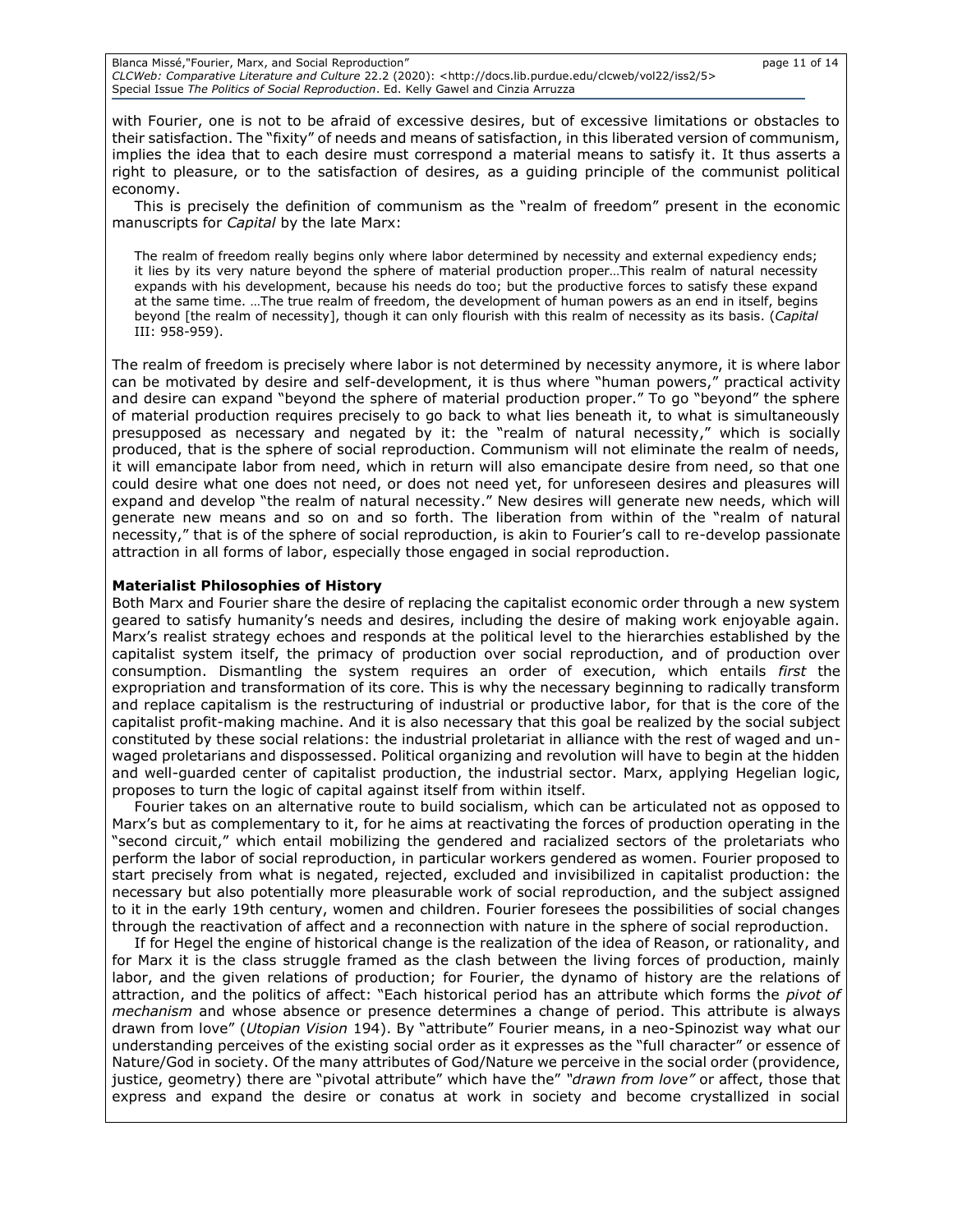Blanca Missé, "Fourier, Marx, and Social Reproduction" page 11 of 14 *CLCWeb: Comparative Literature and Culture* 22.2 (2020): <http://docs.lib.purdue.edu/clcweb/vol22/iss2/5> Special Issue *The Politics of Social Reproduction*. Ed. Kelly Gawel and Cinzia Arruzza

with Fourier, one is not to be afraid of excessive desires, but of excessive limitations or obstacles to their satisfaction. The "fixity" of needs and means of satisfaction, in this liberated version of communism, implies the idea that to each desire must correspond a material means to satisfy it. It thus asserts a right to pleasure, or to the satisfaction of desires, as a guiding principle of the communist political economy.

This is precisely the definition of communism as the "realm of freedom" present in the economic manuscripts for *Capital* by the late Marx:

The realm of freedom really begins only where labor determined by necessity and external expediency ends; it lies by its very nature beyond the sphere of material production proper…This realm of natural necessity expands with his development, because his needs do too; but the productive forces to satisfy these expand at the same time. …The true realm of freedom, the development of human powers as an end in itself, begins beyond [the realm of necessity], though it can only flourish with this realm of necessity as its basis. (*Capital*  III: 958-959).

The realm of freedom is precisely where labor is not determined by necessity anymore, it is where labor can be motivated by desire and self-development, it is thus where "human powers," practical activity and desire can expand "beyond the sphere of material production proper." To go "beyond" the sphere of material production requires precisely to go back to what lies beneath it, to what is simultaneously presupposed as necessary and negated by it: the "realm of natural necessity," which is socially produced, that is the sphere of social reproduction. Communism will not eliminate the realm of needs, it will emancipate labor from need, which in return will also emancipate desire from need, so that one could desire what one does not need, or does not need yet, for unforeseen desires and pleasures will expand and develop "the realm of natural necessity." New desires will generate new needs, which will generate new means and so on and so forth. The liberation from within of the "realm of natural necessity," that is of the sphere of social reproduction, is akin to Fourier's call to re-develop passionate attraction in all forms of labor, especially those engaged in social reproduction.

#### **Materialist Philosophies of History**

Both Marx and Fourier share the desire of replacing the capitalist economic order through a new system geared to satisfy humanity's needs and desires, including the desire of making work enjoyable again. Marx's realist strategy echoes and responds at the political level to the hierarchies established by the capitalist system itself, the primacy of production over social reproduction, and of production over consumption. Dismantling the system requires an order of execution, which entails *first* the expropriation and transformation of its core. This is why the necessary beginning to radically transform and replace capitalism is the restructuring of industrial or productive labor, for that is the core of the capitalist profit-making machine. And it is also necessary that this goal be realized by the social subject constituted by these social relations: the industrial proletariat in alliance with the rest of waged and unwaged proletarians and dispossessed. Political organizing and revolution will have to begin at the hidden and well-guarded center of capitalist production, the industrial sector. Marx, applying Hegelian logic, proposes to turn the logic of capital against itself from within itself.

Fourier takes on an alternative route to build socialism, which can be articulated not as opposed to Marx's but as complementary to it, for he aims at reactivating the forces of production operating in the "second circuit," which entail mobilizing the gendered and racialized sectors of the proletariats who perform the labor of social reproduction, in particular workers gendered as women. Fourier proposed to start precisely from what is negated, rejected, excluded and invisibilized in capitalist production: the necessary but also potentially more pleasurable work of social reproduction, and the subject assigned to it in the early 19th century, women and children. Fourier foresees the possibilities of social changes through the reactivation of affect and a reconnection with nature in the sphere of social reproduction.

If for Hegel the engine of historical change is the realization of the idea of Reason, or rationality, and for Marx it is the class struggle framed as the clash between the living forces of production, mainly labor, and the given relations of production; for Fourier, the dynamo of history are the relations of attraction, and the politics of affect: "Each historical period has an attribute which forms the *pivot of mechanism* and whose absence or presence determines a change of period. This attribute is always drawn from love" (*Utopian Vision* 194). By "attribute" Fourier means, in a neo-Spinozist way what our understanding perceives of the existing social order as it expresses as the "full character" or essence of Nature/God in society. Of the many attributes of God/Nature we perceive in the social order (providence, justice, geometry) there are "pivotal attribute" which have the" *"drawn from love"* or affect, those that express and expand the desire or conatus at work in society and become crystallized in social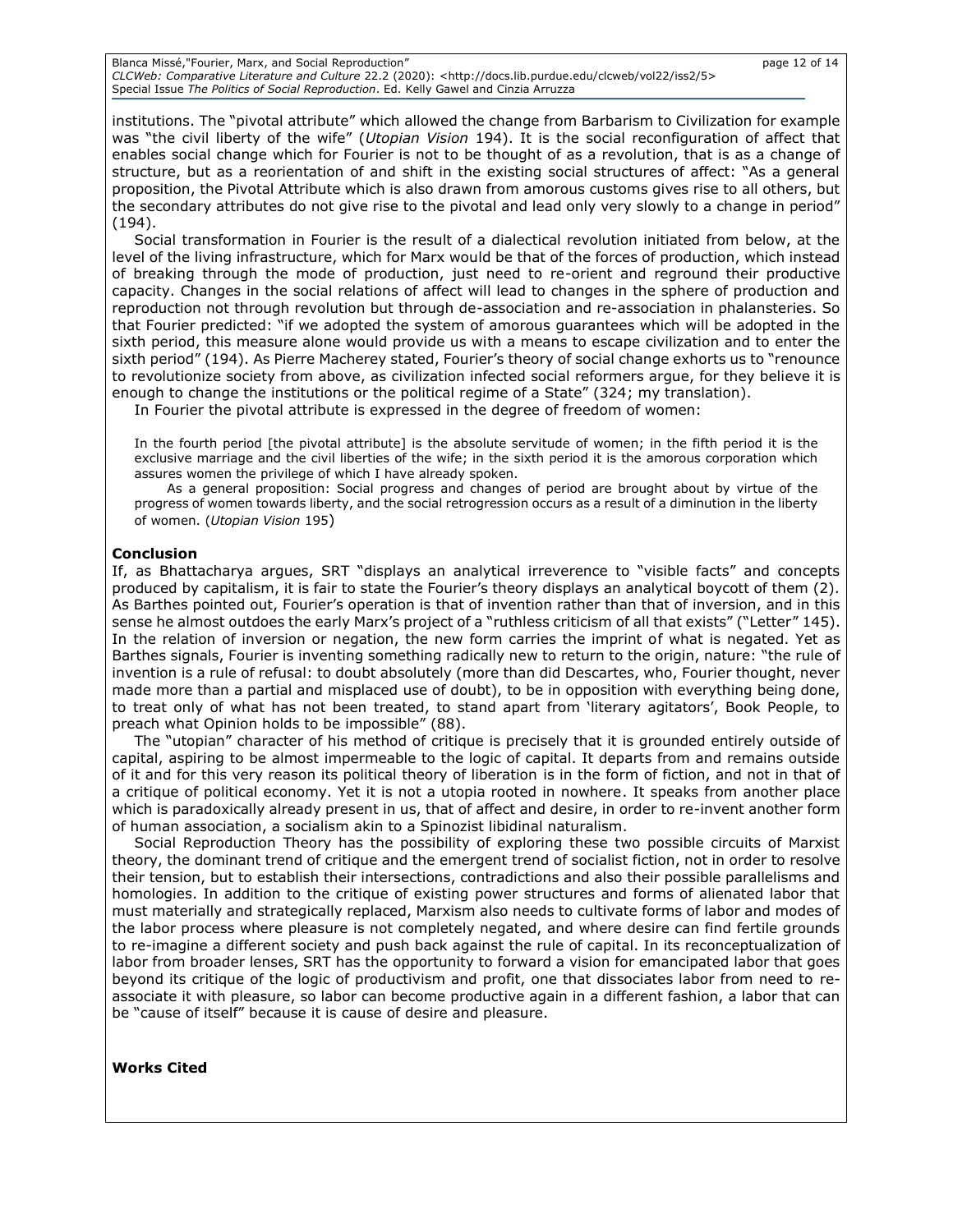Blanca Missé, "Fourier, Marx, and Social Reproduction" page 12 of 14 *CLCWeb: Comparative Literature and Culture* 22.2 (2020): <http://docs.lib.purdue.edu/clcweb/vol22/iss2/5> Special Issue *The Politics of Social Reproduction*. Ed. Kelly Gawel and Cinzia Arruzza

institutions. The "pivotal attribute" which allowed the change from Barbarism to Civilization for example was "the civil liberty of the wife" (*Utopian Vision* 194). It is the social reconfiguration of affect that enables social change which for Fourier is not to be thought of as a revolution, that is as a change of structure, but as a reorientation of and shift in the existing social structures of affect: "As a general proposition, the Pivotal Attribute which is also drawn from amorous customs gives rise to all others, but the secondary attributes do not give rise to the pivotal and lead only very slowly to a change in period" (194).

Social transformation in Fourier is the result of a dialectical revolution initiated from below, at the level of the living infrastructure, which for Marx would be that of the forces of production, which instead of breaking through the mode of production, just need to re-orient and reground their productive capacity. Changes in the social relations of affect will lead to changes in the sphere of production and reproduction not through revolution but through de-association and re-association in phalansteries. So that Fourier predicted: "if we adopted the system of amorous guarantees which will be adopted in the sixth period, this measure alone would provide us with a means to escape civilization and to enter the sixth period" (194). As Pierre Macherey stated, Fourier's theory of social change exhorts us to "renounce to revolutionize society from above, as civilization infected social reformers argue, for they believe it is enough to change the institutions or the political regime of a State" (324; my translation).

In Fourier the pivotal attribute is expressed in the degree of freedom of women:

In the fourth period [the pivotal attribute] is the absolute servitude of women; in the fifth period it is the exclusive marriage and the civil liberties of the wife; in the sixth period it is the amorous corporation which assures women the privilege of which I have already spoken.

As a general proposition: Social progress and changes of period are brought about by virtue of the progress of women towards liberty, and the social retrogression occurs as a result of a diminution in the liberty of women. (*Utopian Vision* 195)

## **Conclusion**

If, as Bhattacharya argues, SRT "displays an analytical irreverence to "visible facts" and concepts produced by capitalism, it is fair to state the Fourier's theory displays an analytical boycott of them (2). As Barthes pointed out, Fourier's operation is that of invention rather than that of inversion, and in this sense he almost outdoes the early Marx's project of a "ruthless criticism of all that exists" ("Letter" 145). In the relation of inversion or negation, the new form carries the imprint of what is negated. Yet as Barthes signals, Fourier is inventing something radically new to return to the origin, nature: "the rule of invention is a rule of refusal: to doubt absolutely (more than did Descartes, who, Fourier thought, never made more than a partial and misplaced use of doubt), to be in opposition with everything being done, to treat only of what has not been treated, to stand apart from 'literary agitators', Book People, to preach what Opinion holds to be impossible" (88).

The "utopian" character of his method of critique is precisely that it is grounded entirely outside of capital, aspiring to be almost impermeable to the logic of capital. It departs from and remains outside of it and for this very reason its political theory of liberation is in the form of fiction, and not in that of a critique of political economy. Yet it is not a utopia rooted in nowhere. It speaks from another place which is paradoxically already present in us, that of affect and desire, in order to re-invent another form of human association, a socialism akin to a Spinozist libidinal naturalism.

Social Reproduction Theory has the possibility of exploring these two possible circuits of Marxist theory, the dominant trend of critique and the emergent trend of socialist fiction, not in order to resolve their tension, but to establish their intersections, contradictions and also their possible parallelisms and homologies. In addition to the critique of existing power structures and forms of alienated labor that must materially and strategically replaced, Marxism also needs to cultivate forms of labor and modes of the labor process where pleasure is not completely negated, and where desire can find fertile grounds to re-imagine a different society and push back against the rule of capital. In its reconceptualization of labor from broader lenses, SRT has the opportunity to forward a vision for emancipated labor that goes beyond its critique of the logic of productivism and profit, one that dissociates labor from need to reassociate it with pleasure, so labor can become productive again in a different fashion, a labor that can be "cause of itself" because it is cause of desire and pleasure.

**Works Cited**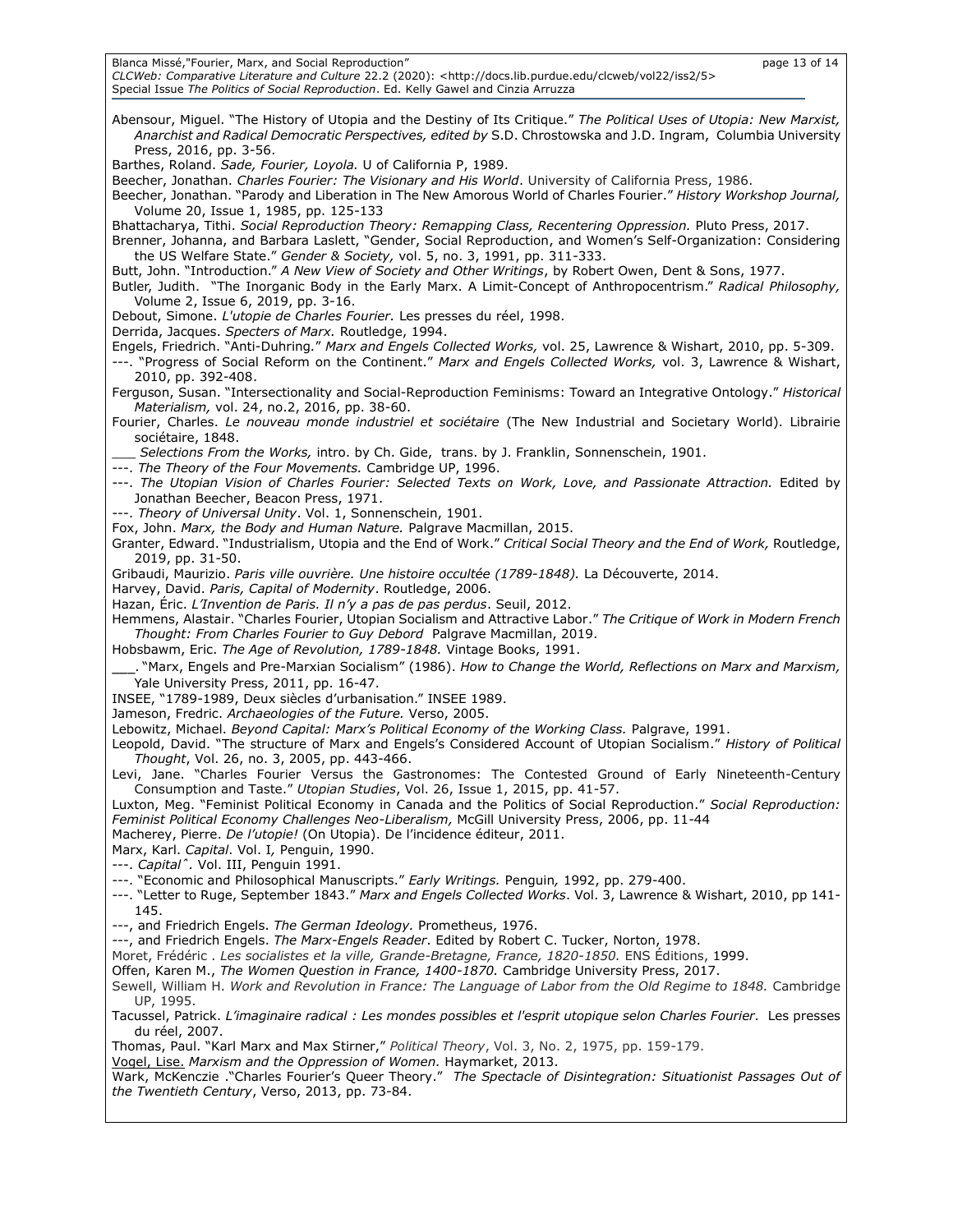Blanca Missé,"Fourier, Marx, and Social Reproduction" **page 13** of 14

*CLCWeb: Comparative Literature and Culture* 22.2 (2020): <http://docs.lib.purdue.edu/clcweb/vol22/iss2/5> Special Issue *The Politics of Social Reproduction*. Ed. Kelly Gawel and Cinzia Arruzza

Abensour, Miguel. "The History of Utopia and the Destiny of Its Critique." *The Political Uses of Utopia: New Marxist, Anarchist and Radical Democratic Perspectives, edited by* S.D. Chrostowska and J.D. Ingram, Columbia University Press, 2016, pp. 3-56. Barthes, Roland. *Sade, Fourier, Loyola.* U of California P, 1989. Beecher, Jonathan. *Charles Fourier: The Visionary and His World*. University of California Press, 1986. Beecher, Jonathan. "Parody and Liberation in The New Amorous World of Charles Fourier." *History Workshop Journal,* Volume 20, Issue 1, 1985, pp. 125-133 Bhattacharya, Tithi. *Social Reproduction Theory: Remapping Class, Recentering Oppression.* Pluto Press, 2017. Brenner, Johanna, and Barbara Laslett, "Gender, Social Reproduction, and Women's Self-Organization: Considering the US Welfare State." *Gender & Society,* vol. 5, no. 3, 1991, pp. 311-333. Butt, John. "Introduction." *A New View of Society and Other Writings*, by Robert Owen, Dent & Sons, 1977. Butler, Judith. "The Inorganic Body in the Early Marx. A Limit-Concept of Anthropocentrism." *Radical Philosophy,* Volume 2, Issue 6, 2019, pp. 3-16. Debout, Simone. *L'utopie de Charles Fourier.* [Les presses du réel,](https://fr.wikipedia.org/wiki/Les_presses_du_r%C3%A9el) 1998. Derrida, Jacques. *Specters of Marx.* Routledge, 1994. Engels, Friedrich. "Anti-Duhring*.*" *Marx and Engels Collected Works,* vol. 25, Lawrence & Wishart, 2010, pp. 5-309. ---. "Progress of Social Reform on the Continent." *Marx and Engels Collected Works,* vol. 3, Lawrence & Wishart, 2010, pp. 392-408. Ferguson, Susan. "Intersectionality and Social-Reproduction Feminisms: Toward an Integrative Ontology." *Historical Materialism,* vol. 24, no.2, 2016, pp. 38-60. Fourier, Charles. *Le nouveau monde industriel et sociétaire* (The New Industrial and Societary World). Librairie sociétaire, 1848. \_\_\_ *Selections From the Works,* intro. by Ch. Gide, trans. by J. Franklin, Sonnenschein, 1901. ---. *The Theory of the Four Movements.* Cambridge UP, 1996. ---. *The Utopian Vision of Charles Fourier: Selected Texts on Work, Love, and Passionate Attraction.* Edited by Jonathan Beecher, Beacon Press, 1971. ---. *Theory of Universal Unity*. Vol. 1, Sonnenschein, 1901. Fox, John. *Marx, the Body and Human Nature.* Palgrave Macmillan, 2015. Granter, Edward. "Industrialism, Utopia and the End of Work." *Critical Social Theory and the End of Work,* Routledge, 2019, pp. 31-50. Gribaudi, Maurizio. *Paris ville ouvrière. Une histoire occultée (1789-1848).* La Découverte, 2014. Harvey, David. *Paris, Capital of Modernity*. Routledge, 2006. Hazan, Éric. *L'Invention de Paris. Il n'y a pas de pas perdus*. Seuil, 2012. Hemmens, Alastair. "Charles Fourier, Utopian Socialism and Attractive Labor." *The Critique of Work in Modern French Thought: From Charles Fourier to Guy Debord* Palgrave Macmillan, 2019. Hobsbawm, Eric. *The Age of Revolution, 1789-1848.* Vintage Books, 1991. \_\_\_. "Marx, Engels and Pre-Marxian Socialism" (1986). *How to Change the World, Reflections on Marx and Marxism,* Yale University Press, 2011, pp. 16-47. INSEE, "1789-1989, Deux siècles d'urbanisation." INSEE 1989. Jameson, Fredric. *Archaeologies of the Future.* Verso, 2005. Lebowitz, Michael. *Beyond Capital: Marx's Political Economy of the Working Class. Palgrave, 1991.* Leopold, David. "The structure of Marx and Engels's Considered Account of Utopian Socialism." *History of Political Thought*, Vol. 26, no. 3, 2005, pp. 443-466. Levi, Jane. "Charles Fourier Versus the Gastronomes: The Contested Ground of Early Nineteenth-Century Consumption and Taste." *Utopian Studies*, Vol. 26, Issue 1, 2015, pp. 41-57. Luxton, Meg. "Feminist Political Economy in Canada and the Politics of Social Reproduction." *Social Reproduction: Feminist Political Economy Challenges Neo-Liberalism,* McGill University Press, 2006, pp. 11-44 Macherey, Pierre. *De l'utopie!* (On Utopia). De l'incidence éditeur, 2011. Marx, Karl. *Capital*. Vol. I*,* Penguin, 1990. ---. *Capitalˆ.* Vol. III, Penguin 1991. ---. "Economic and Philosophical Manuscripts." *Early Writings.* Penguin*,* 1992, pp. 279-400. ---. "Letter to Ruge, September 1843." *Marx and Engels Collected Works*. Vol. 3, Lawrence & Wishart, 2010, pp 141- 145. ---, and Friedrich Engels. *The German Ideology.* Prometheus, 1976. ---, and Friedrich Engels. *The Marx-Engels Reader*. Edited by Robert C. Tucker, Norton, 1978. Moret, Frédéric . *Les socialistes et la ville, Grande-Bretagne, France, 1820-1850.* ENS Éditions, 1999. Offen, Karen M., *The Women Question in France, 1400-1870.* Cambridge University Press, 2017. Sewell, William H. Work and Revolution in France: The Language of Labor from the Old Regime to 1848. Cambridge UP, 1995. Tacussel, Patrick. *L'imaginaire radical : Les mondes possibles et l'esprit utopique selon Charles Fourier.* Les presses du réel, 2007. Thomas, Paul. "Karl Marx and Max Stirner," *Political Theory*, Vol. 3, No. 2, 1975, pp. 159-179. Vogel, Lise. *Marxism and the Oppression of Women.* Haymarket, 2013. Wark, McKenczie ."Charles Fourier's Queer Theory." *The Spectacle of Disintegration: Situationist Passages Out of the Twentieth Century*, Verso, 2013, pp. 73-84.